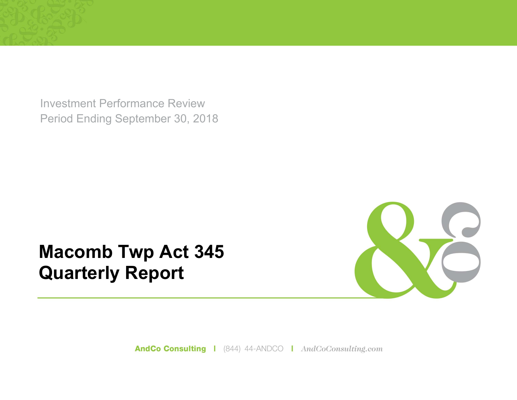Investment Performance Review Period Ending September 30, 2018

# **Macomb Twp Act 345 Quarterly Report**



AndCo Consulting | (844) 44-ANDCO | AndCoConsulting.com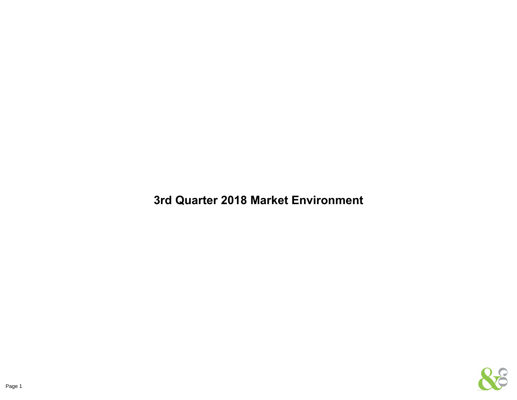**3rd Quarter 2018 Market Environment**

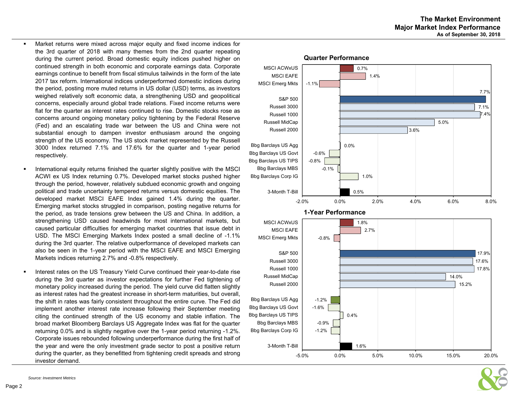- ш Market returns were mixed across major equity and fixed income indices for the 3rd quarter of 2018 with many themes from the 2nd quarter repeating during the current period. Broad domestic equity indices pushed higher on continued strength in both economic and corporate earnings data. Corporate earnings continue to benefit from fiscal stimulus tailwinds in the form of the late 2017 tax reform. International indices underperformed domestic indices during the period, posting more muted returns in US dollar (USD) terms, as investors weighed relatively soft economic data, <sup>a</sup> strengthening USD and geopolitical concerns, especially around global trade relations. Fixed income returns were flat for the quarter as interest rates continued to rise. Domestic stocks rose as concerns around ongoing monetary policy tightening by the Federal Reserve (Fed) and an escalating trade war between the US and China were not substantial enough to dampen investor enthusiasm around the ongoing strength of the US economy. The US stock market represented by the Russell 3000 Index returned 7.1% and 17.6% for the quarter and 1-year period respectively.
- $\blacksquare$  International equity returns finished the quarter slightly positive with the MSCI ACWI ex US Index returning 0.7%. Developed market stocks pushed higher through the period, however, relatively subdued economic growth and ongoing political and trade uncertainty tempered returns versus domestic equities. The developed market MSCI EAFE Index gained 1.4% during the quarter. Emerging market stocks struggled in comparison, posting negative returns for the period, as trade tensions grew between the US and China. In addition, <sup>a</sup> strengthening USD caused headwinds for most international markets, but caused particular difficulties for emerging market countries that issue debt in USD. The MSCI Emerging Markets Index posted <sup>a</sup> small decline of -1.1% during the 3rd quarter. The relative outperformance of developed markets can also be seen in the 1-year period with the MSCI EAFE and MSCI Emerging Markets indices returning 2.7% and -0.8% respectively.
- $\bullet$  Interest rates on the US Treasury Yield Curve continued their year-to-date rise during the 3rd quarter as investor expectations for further Fed tightening of monetary policy increased during the period. The yield curve did flatten slightly as interest rates had the greatest increase in short-term maturities, but overall, the shift in rates was fairly consistent throughout the entire curve. The Fed did implement another interest rate increase following their September meeting citing the continued strength of the US economy and stable inflation. The broad market Bloomberg Barclays US Aggregate Index was flat for the quarter returning 0.0% and is slightly negative over the 1-year period returning -1.2%. Corporate issues rebounded following underperformance during the first half of the year and were the only investment grade sector to post <sup>a</sup> positive return during the quarter, as they benefitted from tightening credit spreads and strong investor demand.



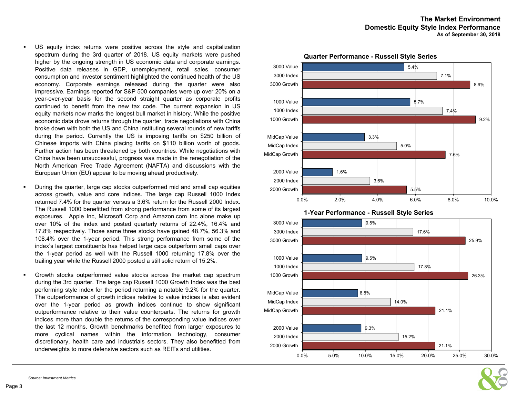- n US equity index returns were positive across the style and capitalization spectrum during the 3rd quarter of 2018. US equity markets were pushed higher by the ongoing strength in US economic data and corporate earnings. Positive data releases in GDP, unemployment, retail sales, consumer consumption and investor sentiment highlighted the continued health of the US economy. Corporate earnings released during the quarter were also impressive. Earnings reported for S&P 500 companies were up over 20% on <sup>a</sup> year-over-year basis for the second straight quarter as corporate profits continued to benefit from the new tax code. The current expansion in US equity markets now marks the longest bull market in history. While the positive economic data drove returns through the quarter, trade negotiations with China broke down with both the US and China instituting several rounds of new tariffs during the period. Currently the US is imposing tariffs on \$250 billion of Chinese imports with China placing tariffs on \$110 billion worth of goods. Further action has been threatened by both countries. While negotiations with China have been unsuccessful, progress was made in the renegotiation of the North American Free Trade Agreement (NAFTA) and discussions with the European Union (EU) appear to be moving ahead productively.
- During the quarter, large cap stocks outperformed mid and small cap equities across growth, value and core indices. The large cap Russell 1000 Index returned 7.4% for the quarter versus <sup>a</sup> 3.6% return for the Russell 2000 Index. The Russell 1000 benefitted from strong performance from some of its largest exposures. Apple Inc, Microsoft Corp and Amazon.com Inc alone make up over 10% of the index and posted quarterly returns of 22.4%, 16.4% and 17.8% respectively. Those same three stocks have gained 48.7%, 56.3% and 108.4% over the 1-year period. This strong performance from some of the index's largest constituents has helped large caps outperform small caps over the 1-year period as well with the Russell 1000 returning 17.8% over the trailing year while the Russell 2000 posted <sup>a</sup> still solid return of 15.2%.
- $\blacksquare$  Growth stocks outperformed value stocks across the market cap spectrum during the 3rd quarter. The large cap Russell 1000 Growth Index was the best performing style index for the period returning <sup>a</sup> notable 9.2% for the quarter. The outperformance of growth indices relative to value indices is also evident over the 1-year period as growth indices continue to show significant outperformance relative to their value counterparts. The returns for growth indices more than double the returns of the corresponding value indices over the last 12 months. Growth benchmarks benefitted from larger exposures to more cyclical names within the information technology, consumer discretionary, health care and industrials sectors. They also benefitted from underweights to more defensive sectors such as REITs and utilities.







 $\blacksquare$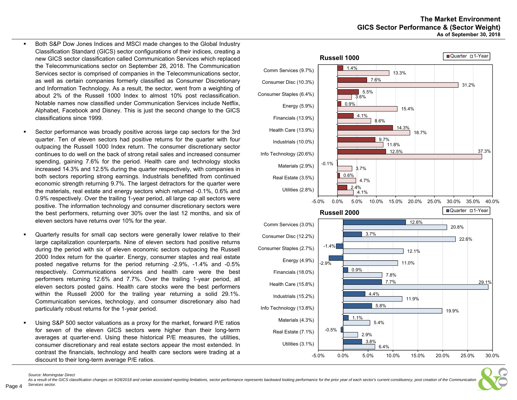- Both S&P Dow Jones Indices and MSCI made changes to the Global Industry Classification Standard (GICS) sector configurations of their indices, creating <sup>a</sup> new GICS sector classification called Communication Services which replaced the Telecommunications sector on September 28, 2018. The Communication Services sector is comprised of companies in the Telecommunications sector, as well as certain companies formerly classified as Consumer Discretionary and Information Technology. As <sup>a</sup> result, the sector, went from <sup>a</sup> weighting of about 2% of the Russell 1000 Index to almost 10% post reclassification. Notable names now classified under Communication Services include Netflix, Alphabet, Facebook and Disney. This is just the second change to the GICS classifications since 1999.
- г Sector performance was broadly positive across large cap sectors for the 3rd quarter. Ten of eleven sectors had positive returns for the quarter with four outpacing the Russell 1000 Index return. The consumer discretionary sector continues to do well on the back of strong retail sales and increased consumer spending, gaining 7.6% for the period. Health care and technology stocks increased 14.3% and 12.5% during the quarter respectively, with companies in both sectors reporting strong earnings. Industrials benefitted from continued economic strength returning 9.7%. The largest detractors for the quarter were the materials, real estate and energy sectors which returned -0.1%, 0.6% and 0.9% respectively. Over the trailing 1-year period, all large cap all sectors were positive. The information technology and consumer discretionary sectors were the best performers, returning over 30% over the last 12 months, and six of eleven sectors have returns over 10% for the year.
- $\blacksquare$  Quarterly results for small cap sectors were generally lower relative to their large capitalization counterparts. Nine of eleven sectors had positive returns during the period with six of eleven economic sectors outpacing the Russell 2000 Index return for the quarter. Energy, consumer staples and real estate posted negative returns for the period returning -2.9%, -1.4% and -0.5% respectively. Communications services and health care were the best performers returning 12.6% and 7.7%. Over the trailing 1-year period, all eleven sectors posted gains. Health care stocks were the best performers within the Russell 2000 for the trailing year returning <sup>a</sup> solid 29.1%. Communication services, technology, and consumer discretionary also had particularly robust returns for the 1-year period.
- $\blacksquare$  Using S&P 500 sector valuations as <sup>a</sup> proxy for the market, forward P/E ratios for seven of the eleven GICS sectors were higher than their long-term averages at quarter-end. Using these historical P/E measures, the utilities, consumer discretionary and real estate sectors appear the most extended. In contrast the financials, technology and health care sectors were trading at <sup>a</sup> discount to their long-term average P/E ratios.





As a result of the GICS classification changes on 9/28/2018 and certain associated reporting limitations, sector performance represents backward looking performance for the prior year of each sector's current constituency, *Services sector.*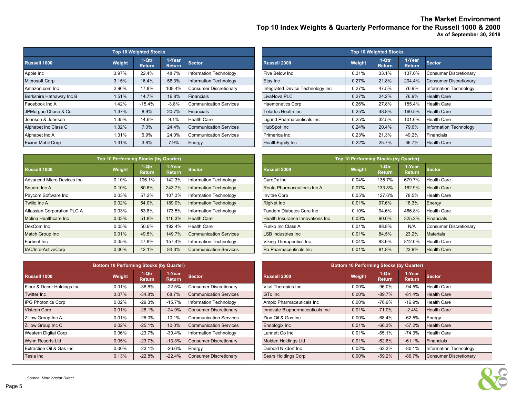**The Market Environment Top 10 Index Weights & Quarterly Performance for the Russell 1000 & 2000 As of September 30, 2018**

|                          |        | <b>Top 10 Weighted Stocks</b> |                         |                               | <b>Top 10 Weighted Stocks</b>    |        |                        |                         |                               |  |  |  |
|--------------------------|--------|-------------------------------|-------------------------|-------------------------------|----------------------------------|--------|------------------------|-------------------------|-------------------------------|--|--|--|
| Russell 1000             | Weight | 1-Qtr<br><b>Return</b>        | 1-Year<br><b>Return</b> | <b>Sector</b>                 | Russell 2000                     | Weight | 1-Qtr<br><b>Return</b> | 1-Year<br><b>Return</b> | <b>Sector</b>                 |  |  |  |
| Apple Inc                | 3.97%  | 22.4%                         | 48.7%                   | Information Technology        | Five Below Inc                   | 0.31%  | 33.1%                  | 137.0%                  | <b>Consumer Discretionary</b> |  |  |  |
| Microsoft Corp           | 3.15%  | 16.4%                         | 56.3%                   | Information Technology        | Etsy Inc                         | 0.27%  | 21.8%                  | 204.4%                  | Consumer Discretionary        |  |  |  |
| Amazon.com Inc           | 2.96%  | 17.8%                         | 108.4%                  | Consumer Discretionary        | Integrated Device Technology Inc | 0.27%  | 47.5%                  | 76.9%                   | Information Technology        |  |  |  |
| Berkshire Hathaway Inc B | 1.51%  | 14.7%                         | 16.8%                   | Financials                    | LivaNova PLC                     | 0.27%  | 24.2%                  | 76.9%                   | Health Care                   |  |  |  |
| Facebook Inc A           | 1.42%  | $-15.4%$                      | $-3.8%$                 | <b>Communication Services</b> | <b>Haemonetics Corp</b>          | 0.26%  | 27.8%                  | 155.4%                  | <b>Health Care</b>            |  |  |  |
| JPMorgan Chase & Co      | 1.37%  | 8.9%                          | 20.7%                   | Financials                    | <b>Teladoc Health Inc</b>        | 0.25%  | 48.8%                  | 160.5%                  | Health Care                   |  |  |  |
| Johnson & Johnson        | 1.35%  | 14.6%                         | 9.1%                    | Health Care                   | Ligand Pharmaceuticals Inc       | 0.25%  | 32.5%                  | 101.6%                  | Health Care                   |  |  |  |
| Alphabet Inc Class C     | 1.32%  | 7.0%                          | 24.4%                   | Communication Services        | <b>HubSpot Inc</b>               | 0.24%  | 20.4%                  | 79.6%                   | Information Technology        |  |  |  |
| Alphabet Inc A           | 1.31%  | 6.9%                          | 24.0%                   | Communication Services        | Primerica Inc                    | 0.23%  | 21.3%                  | 49.2%                   | Financials                    |  |  |  |
| Exxon Mobil Corp         | 1.31%  | 3.8%                          | 7.9%                    | Energy                        | HealthEquity Inc                 | 0.22%  | 25.7%                  | 86.7%                   | Health Care                   |  |  |  |

|                             | Top 10 Performing Stocks (by Quarter) |                        |                         |                                                   | Top 10 Performing Stocks (by Quarter) |        |                        |                         |                               |  |  |  |
|-----------------------------|---------------------------------------|------------------------|-------------------------|---------------------------------------------------|---------------------------------------|--------|------------------------|-------------------------|-------------------------------|--|--|--|
| Russell 1000                | Weight                                | 1-Qtr<br><b>Return</b> | 1-Year<br><b>Return</b> | <b>Sector</b>                                     | Russell 2000                          | Weight | 1-Qtr<br><b>Return</b> | 1-Year<br><b>Return</b> | <b>Sector</b>                 |  |  |  |
| Advanced Micro Devices Inc  | 0.10%                                 | 106.1%                 | 142.3%                  | Information Technology                            | 0.04%<br>CareDx Inc                   |        | 135.7%                 | 679.7%                  | Health Care                   |  |  |  |
| Square Inc A                | 0.10%                                 | 60.6%                  | 243.7%                  | <b>Information Technology</b>                     | 0.07%<br>Reata Pharmaceuticals Inc A  |        | 133.8%                 | 162.9%                  | <b>Health Care</b>            |  |  |  |
| Paycom Software Inc         | 0.03%                                 | 57.2%                  | 107.3%                  | Information Technology                            | <b>Invitae Corp</b>                   | 0.05%  | 127.6%                 | 78.5%                   | Health Care                   |  |  |  |
| Twilio Inc A                | 0.02%                                 | 54.0%                  | 189.0%                  | <b>Information Technology</b>                     | 0.01%<br><b>RigNet Inc</b>            |        | 97.6%                  | 18.3%                   | Energy                        |  |  |  |
| Atlassian Corporation PLC A | 0.03%                                 | 53.8%                  | 173.5%                  | Information Technology                            | Tandem Diabetes Care Inc              | 0.10%  | 94.6%                  | 486.8%                  | Health Care                   |  |  |  |
| Molina Healthcare Inc       | 0.03%                                 | 51.8%                  | 116.3%                  | <b>Health Care</b>                                | Health Insurance Innovations Inc      | 0.03%  | 90.6%                  | 325.2%                  | Financials                    |  |  |  |
| DexCom Inc                  | 0.05%                                 | 50.6%                  | 192.4%                  | <b>Health Care</b>                                | Funko Inc Class A                     | 0.01%  | 88.8%                  | N/A                     | <b>Consumer Discretionary</b> |  |  |  |
| <b>Match Group Inc</b>      | 0.01%                                 | 49.5%                  | 149.7%                  | Communication Services                            | <b>LSB Industries Inc.</b>            | 0.01%  | 84.5%                  | 23.2%                   | <b>Materials</b>              |  |  |  |
| Fortinet Inc                | 0.05%                                 | 47.8%                  | 157.4%                  | Information Technology<br>Viking Therapeutics Inc |                                       | 0.04%  | 83.6%                  | 812.0%                  | Health Care                   |  |  |  |
| <b>IAC/InterActiveCorp</b>  | 0.06%                                 | 42.1%                  | 84.3%                   | Communication Services                            | Ra Pharmaceuticals Inc                | 0.01%  | 81.8%                  | 23.9%                   | <b>Health Care</b>            |  |  |  |

|   | <b>Stocks</b>           |                               |                                  |        | <b>Top 10 Weighted Stocks</b> |                         |  |
|---|-------------------------|-------------------------------|----------------------------------|--------|-------------------------------|-------------------------|--|
| n | 1-Year<br><b>Return</b> | <b>Sector</b>                 | Russell 2000                     | Weight | $1-Qtr$<br><b>Return</b>      | 1-Year<br><b>Return</b> |  |
|   | 48.7%                   | Information Technology        | Five Below Inc.                  | 0.31%  | 33.1%                         | 137.0%                  |  |
|   | 56.3%                   | Information Technology        | Etsy Inc                         | 0.27%  | 21.8%                         | 204.4%                  |  |
|   | 108.4%                  | <b>Consumer Discretionary</b> | Integrated Device Technology Inc | 0.27%  | 47.5%                         | 76.9%                   |  |
|   | 16.8%                   | Financials                    | LivaNova PLC                     | 0.27%  | 24.2%                         | 76.9%                   |  |
|   | $-3.8%$                 | <b>Communication Services</b> | <b>Haemonetics Corp</b>          | 0.26%  | 27.8%                         | 155.4%                  |  |
|   | 20.7%                   | Financials                    | <b>Teladoc Health Inc</b>        | 0.25%  | 48.8%                         | 160.5%                  |  |
|   | 9.1%                    | <b>Health Care</b>            | Ligand Pharmaceuticals Inc       | 0.25%  | 32.5%                         | 101.6%                  |  |
|   | 24.4%                   | <b>Communication Services</b> | HubSpot Inc                      | 0.24%  | 20.4%                         | 79.6%                   |  |
|   | 24.0%                   | <b>Communication Services</b> | Primerica Inc                    | 0.23%  | 21.3%                         | 49.2%                   |  |
|   | 7.9%                    | Energy                        | HealthEquity Inc                 | 0.22%  | 25.7%                         | 86.7%                   |  |

|   | s (by Quarter),         |                               | Top 10 Performing Stocks (by Quarter) |        |                          |                         |                               |  |  |  |  |  |
|---|-------------------------|-------------------------------|---------------------------------------|--------|--------------------------|-------------------------|-------------------------------|--|--|--|--|--|
| n | 1-Year<br><b>Return</b> | Sector                        | <b>Russell 2000</b>                   | Weight | $1-Qtr$<br><b>Return</b> | 1-Year<br><b>Return</b> | <b>Sector</b>                 |  |  |  |  |  |
| ℅ | 142.3%                  | Information Technology        | CareDx Inc                            | 0.04%  | 135.7%                   | 679.7%                  | Health Care                   |  |  |  |  |  |
| 6 | 243.7%                  | <b>Information Technology</b> | Reata Pharmaceuticals Inc A           | 0.07%  | 133.8%                   | 162.9%                  | <b>Health Care</b>            |  |  |  |  |  |
|   | 107.3%                  | Information Technology        | Invitae Corp                          | 0.05%  | 127.6%                   | 78.5%                   | Health Care                   |  |  |  |  |  |
|   | 189.0%                  | <b>Information Technology</b> | <b>RigNet Inc</b>                     | 0.01%  | 97.6%                    | 18.3%                   | Energy                        |  |  |  |  |  |
|   | 173.5%                  | Information Technology        | <b>Fandem Diabetes Care Inc</b>       | 0.10%  | 94.6%                    | 486.8%                  | <b>Health Care</b>            |  |  |  |  |  |
|   | 116.3%                  | <b>Health Care</b>            | Health Insurance Innovations Inc.     | 0.03%  | 90.6%                    | 325.2%                  | Financials                    |  |  |  |  |  |
|   | 192.4%                  | <b>Health Care</b>            | Funko Inc Class A                     | 0.01%  | 88.8%                    | N/A                     | <b>Consumer Discretionary</b> |  |  |  |  |  |
|   | 149.7%                  | <b>Communication Services</b> | <b>LSB Industries Inc</b>             | 0.01%  | 84.5%                    | 23.2%                   | <b>Materials</b>              |  |  |  |  |  |
|   | 157.4%                  | Information Technology        | Viking Therapeutics Inc               | 0.04%  | 83.6%                    | 812.0%                  | Health Care                   |  |  |  |  |  |
|   | 84.3%                   | <b>Communication Services</b> | Ra Pharmaceuticals Inc                | 0.01%  | 81.8%                    | 23.9%                   | <b>Health Care</b>            |  |  |  |  |  |

|                            | <b>Bottom 10 Performing Stocks (by Quarter)</b> |                        |                         |                               | <b>Bottom 10 Performing Stocks (by Quarter)</b> |          |                        |                         |                        |  |  |
|----------------------------|-------------------------------------------------|------------------------|-------------------------|-------------------------------|-------------------------------------------------|----------|------------------------|-------------------------|------------------------|--|--|
| <b>Russell 1000</b>        | Weight                                          | 1-Qtr<br><b>Return</b> | 1-Year<br><b>Return</b> | <b>Sector</b>                 | Russell 2000                                    | Weight   | 1-Qtr<br><b>Return</b> | 1-Year<br><b>Return</b> | <b>Sector</b>          |  |  |
| Floor & Decor Holdings Inc | 0.01%                                           | $-38.8%$               | $-22.5%$                | <b>Consumer Discretionary</b> | Vital Therapies Inc                             | 0.00%    | -96.0%                 | $-94.5%$                | <b>Health Care</b>     |  |  |
| <b>Twitter Inc</b>         | 0.07%                                           | $-34.8%$               | 68.7%                   | Communication Services        | <b>GTx Inc</b>                                  | $0.00\%$ | $-89.7%$               | $-81.4%$                | <b>Health Care</b>     |  |  |
| <b>IPG Photonics Corp</b>  | 0.02%                                           | -29.3%                 | $-15.7\%$               | Information Technology        | Ampio Pharmaceuticals Inc                       | $0.00\%$ | -76.9%                 | $-16.9%$                | Health Care            |  |  |
| Visteon Corp               | 0.01%                                           | $-28.1%$               | $-24.9%$                | Consumer Discretionary        | Innovate Biopharmaceuticals Inc                 | 0.01%    | $-71.0%$               | $-2.4%$                 | <b>Health Care</b>     |  |  |
| <b>Zillow Group Inc A</b>  | 0.01%                                           | -26.0%                 | 10.1%                   | <b>Communication Services</b> | l Zion Oil & Gas Inc                            | 0.00%    | -68.4%                 | $-62.5%$                | Energy                 |  |  |
| <b>Zillow Group Inc C</b>  | 0.02%                                           | $-25.1%$               | 10.0%                   | Communication Services        | <b>Endologix Inc</b>                            | 0.01%    | $-66.3%$               | $-57.2%$                | <b>Health Care</b>     |  |  |
| Western Digital Corp       | 0.06%                                           | $-23.7%$               | $-30.4%$                | Information Technology        | Lannett Co Inc                                  | 0.01%    | -65.1%                 | $-74.3%$                | Health Care            |  |  |
| Wynn Resorts Ltd           | 0.05%                                           | $-23.7%$               | $-13.3%$                | <b>Consumer Discretionary</b> | Maiden Holdings Ltd                             | 0.01%    | $-62.6%$               | $-61.1%$                | Financials             |  |  |
| Extraction Oil & Gas Inc   | $0.00\%$                                        | $-23.1%$               | $-26.6%$                | Energy                        | Diebold Nixdorf Inc                             | 0.02%    | $-62.3%$               | $-80.1%$                | Information Technology |  |  |
| Tesla Inc                  | 0.13%                                           | $-22.8%$               | $-22.4%$                | Consumer Discretionary        | <b>Sears Holdings Corp</b>                      | 0.00%    | $-59.2%$               | $-86.7%$                | Consumer Discretionary |  |  |

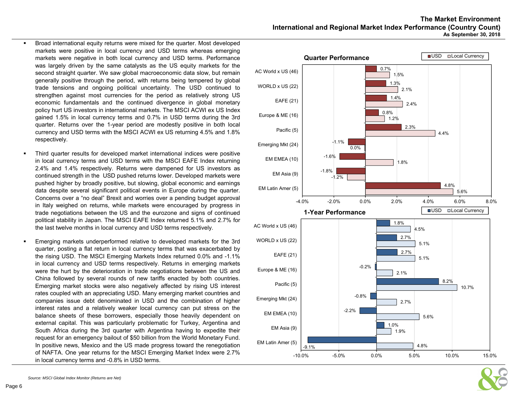- Broad international equity returns were mixed for the quarter. Most developed markets were positive in local currency and USD terms whereas emerging markets were negative in both local currency and USD terms. Performance was largely driven by the same catalysts as the US equity markets for the second straight quarter. We saw global macroeconomic data slow, but remain generally positive through the period, with returns being tempered by global trade tensions and ongoing political uncertainty. The USD continued to strengthen against most currencies for the period as relatively strong US economic fundamentals and the continued divergence in global monetary policy hurt US investors in international markets. The MSCI ACWI ex US Index gained 1.5% in local currency terms and 0.7% in USD terms during the 3rd quarter. Returns over the 1-year period are modestly positive in both local currency and USD terms with the MSCI ACWI ex US returning 4.5% and 1.8% respectively.
- $\blacksquare$  Third quarter results for developed market international indices were positive in local currency terms and USD terms with the MSCI EAFE Index returning 2.4% and 1.4% respectively. Returns were dampened for US investors as continued strength in the USD pushed returns lower. Developed markets were pushed higher by broadly positive, but slowing, global economic and earnings data despite several significant political events in Europe during the quarter. Concerns over <sup>a</sup> "no deal" Brexit and worries over <sup>a</sup> pending budget approval in Italy weighed on returns, while markets were encouraged by progress in trade negotiations between the US and the eurozone and signs of continued political stability in Japan. The MSCI EAFE Index returned 5.1% and 2.7% for the last twelve months in local currency and USD terms respectively.
- г Emerging markets underperformed relative to developed markets for the 3rd quarter, posting <sup>a</sup> flat return in local currency terms that was exacerbated by the rising USD. The MSCI Emerging Markets Index returned 0.0% and -1.1% in local currency and USD terms respectively. Returns in emerging markets were the hurt by the deterioration in trade negotiations between the US and China followed by several rounds of new tariffs enacted by both countries. Emerging market stocks were also negatively affected by rising US interest rates coupled with an appreciating USD. Many emerging market countries and companies issue debt denominated in USD and the combination of higher interest rates and <sup>a</sup> relatively weaker local currency can put stress on the balance sheets of these borrowers, especially those heavily dependent on external capital. This was particularly problematic for Turkey, Argentina and South Africa during the 3rd quarter with Argentina having to expedite their request for an emergency bailout of \$50 billion from the World Monetary Fund. In positive news, Mexico and the US made progress toward the renegotiation of NAFTA. One year returns for the MSCI Emerging Market Index were 2.7% in local currency terms and -0.8% in USD terms.

# **The Market EnvironmentInternational and Regional Market Index Performance (Country Count) As September 30, 2018**



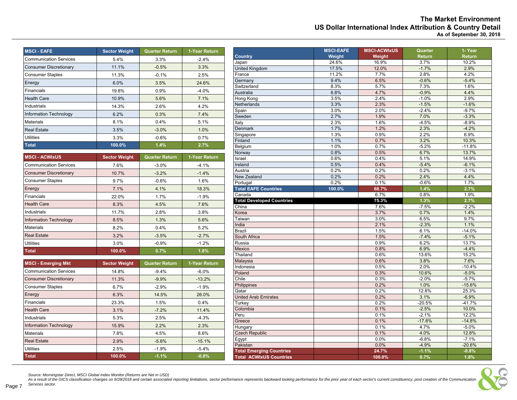|                                                            | <b>The Market Environment</b> |
|------------------------------------------------------------|-------------------------------|
| US Dollar International Index Attribution & Country Detail |                               |
|                                                            | As of September 30, 2018      |

| <b>MSCI - EAFE</b>            | <b>Sector Weight</b> | <b>Quarter Return</b> | 1-Year Return |
|-------------------------------|----------------------|-----------------------|---------------|
| <b>Communication Services</b> | 5.4%                 | 3.3%                  | $-2.4%$       |
| <b>Consumer Discretionary</b> | 11.1%                | $-0.5%$               | 3.3%          |
| <b>Consumer Staples</b>       | 11.3%                | $-0.1%$               | 2.5%          |
| Energy                        | 6.0%                 | 3.5%                  | 24.6%         |
| Financials                    | 19.8%                | 0.9%                  | $-4.0%$       |
| <b>Health Care</b>            | 10.9%                | 5.6%                  | 7.1%          |
| Industrials                   | 14.3%                | 2.6%                  | 4.2%          |
| Information Technology        | 6.2%                 | 0.3%                  | 7.4%          |
| <b>Materials</b>              | 8.1%                 | 0.4%                  | 5.1%          |
| <b>Real Estate</b>            | 3.5%                 | $-3.0%$               | 1.0%          |
| <b>Utilities</b>              | 3.3%                 | $-0.6%$               | 0.7%          |
| <b>Total</b>                  | 100.0%               | 1.4%                  | 2.7%          |
| <b>MSCI - ACWIxUS</b>         | <b>Sector Weight</b> | <b>Quarter Return</b> | 1-Year Return |
| <b>Communication Services</b> | 7.6%                 | $-3.0%$               | $-4.1%$       |
| <b>Consumer Discretionary</b> | 10.7%                | $-3.2%$               | $-1.4%$       |
| <b>Consumer Staples</b>       | 9.7%                 | $-0.6%$               | 1.6%          |
| Energy                        | 7.1%                 | 4.1%                  | 18.3%         |
| Financials                    | 22.0%                | 1.7%                  | $-1.9%$       |
| <b>Health Care</b>            | 8.3%                 | 4.5%                  | 7.6%          |
| Industrials                   | 11.7%                | 2.8%                  | 3.8%          |
| <b>Information Technology</b> | 8.5%                 | 1.3%                  | 5.6%          |
| <b>Materials</b>              | 8.2%                 | 0.4%                  | 5.2%          |
| <b>Real Estate</b>            | 3.2%                 | $-3.5%$               | $-2.7%$       |
| <b>Utilities</b>              | 3.0%                 | $-0.9%$               | $-1.2%$       |
| <b>Total</b>                  | 100.0%               | 0.7%                  | 1.8%          |
| <b>MSCI - Emerging Mkt</b>    | <b>Sector Weight</b> | <b>Quarter Return</b> | 1-Year Return |
| <b>Communication Services</b> | 14.8%                | $-9.4%$               | $-6.0%$       |
| <b>Consumer Discretionary</b> | 11.3%                | $-9.9%$               | $-13.2%$      |
| <b>Consumer Staples</b>       | 6.7%                 | $-2.9%$               | $-1.9%$       |
| Energy                        | 6.3%                 | 14.5%                 | 26.0%         |
| Financials                    | 23.3%                | 1.5%                  | 0.4%          |
| <b>Health Care</b>            | 3.1%                 | $-7.2%$               | 11.4%         |
| Industrials                   | 5.3%                 | 2.5%                  | $-4.3%$       |
| Information Technology        | 15.9%                | 2.2%                  | 2.3%          |
| <b>Materials</b>              | 7.8%                 | 4.5%                  | 8.6%          |
| <b>Real Estate</b>            | 2.9%                 | $-5.6%$               | $-15.1%$      |
| <b>Utilities</b>              | 2.5%                 | $-1.9%$               | $-5.4%$       |

|                                  | <b>MSCI-EAFE</b> | <b>MSCI-ACWIxUS</b> | Quarter  | 1- Year  |
|----------------------------------|------------------|---------------------|----------|----------|
| <b>Country</b>                   | Weight           | Weight              | Return   | Return   |
| Japan                            | 24.6%            | 16.9%               | 3.7%     | 10.2%    |
| <b>United Kingdom</b>            | 17.5%            | 12.0%               | $-1.7%$  | 2.9%     |
| France                           | 11.2%            | 7.7%                | 2.8%     | 4.2%     |
| Germany                          | 9.4%             | 6.5%                | $-0.6%$  | $-5.4%$  |
| Switzerland                      | 8.3%             | 5.7%                | 7.3%     | 1.6%     |
| Australia                        | 6.8%             | 4.7%                | $-0.9%$  | 4.4%     |
| Hong Kong                        | 3.5%             | 2.4%                | $-1.0%$  | 2.9%     |
| Netherlands                      | 3.3%             | 2.3%                | $-1.5%$  | $-1.6%$  |
| Spain                            | 3.0%             | 2.0%                | $-2.4%$  | $-9.7%$  |
| Sweden                           | 2.7%             | 1.9%                | 7.0%     | $-3.3%$  |
| Italy                            | 2.3%             | 1.6%                | $-4.5%$  | $-8.9%$  |
| <b>Denmark</b>                   | 1.7%             | 1.2%                | 2.3%     | $-4.2%$  |
| Singapore                        | 1.3%             | 0.9%                | 2.2%     | 6.9%     |
| Finland                          | 1.1%             | 0.7%                | 3.2%     | 10.3%    |
| Belgium                          | 1.0%             | 0.7%                | $-5.2%$  | $-11.8%$ |
| Norway                           | 0.8%             | 0.5%                | 6.7%     | 13.7%    |
| Israel                           | 0.6%             | 0.4%                | 5.1%     | 14.9%    |
| Ireland                          | 0.5%             | 0.4%                | $-5.4%$  | $-6.1%$  |
| Austria                          | 0.2%             | 0.2%                | 0.2%     | $-3.1%$  |
| New Zealand                      | 0.2%             | 0.2%                | 2.4%     | 4.4%     |
| Portugal                         | 0.2%             | 0.1%                | $-0.6%$  | 1.7%     |
| <b>Total EAFE Countries</b>      | 100.0%           | 68.7%               | 1.4%     | 2.7%     |
| Canada                           |                  | 6.7%                | 0.8%     | 1.9%     |
| <b>Total Developed Countries</b> |                  | 75.3%               | 1.3%     | 2.7%     |
| China                            |                  | 7.6%                | $-7.5%$  | $-2.2%$  |
| Korea                            |                  | 3.7%                | 0.7%     | 1.4%     |
| Taiwan                           |                  | 3.0%                | 6.5%     | 9.7%     |
| India                            |                  | 2.1%                | $-2.3%$  | 1.1%     |
| <b>Brazil</b>                    |                  | 1.5%                | 6.1%     | $-14.0%$ |
| South Africa                     |                  | 1.5%                | $-7.4%$  | $-5.1%$  |
| Russia                           |                  | 0.9%                | 6.2%     | 13.7%    |
| Mexico                           |                  | 0.8%                | 6.9%     | $-4.4%$  |
| Thailand                         |                  | 0.6%                | 13.6%    | 15.2%    |
| Malaysia                         |                  | 0.6%                | 3.8%     | 7.6%     |
| Indonesia                        |                  | 0.5%                | 2.0%     | $-10.4%$ |
| Poland                           |                  | 0.3%                | 10.6%    | $-5.0%$  |
| Chile                            |                  | 0.3%                | $-2.0%$  | $-5.7%$  |
| Philippines                      |                  | 0.2%                | 1.0%     | $-15.6%$ |
| Qatar                            |                  | 0.2%                | 12.8%    | 25.3%    |
| <b>United Arab Emirates</b>      |                  | 0.2%                | 3.1%     | $-6.9%$  |
|                                  |                  | 0.2%                | $-20.5%$ | $-41.7%$ |
| Turkey<br>Colombia               |                  | 0.1%                | $-2.5%$  | 10.0%    |
| Peru                             |                  | 0.1%                | $-2.1%$  | 12.2%    |
|                                  |                  | 0.1%                | $-17.6%$ | $-14.8%$ |
| Greece                           |                  |                     |          |          |
| Hungary                          |                  | 0.1%                | 4.7%     | $-5.0%$  |
| <b>Czech Republic</b>            |                  | 0.1%                | 4.0%     | 12.8%    |
| Egypt                            |                  | 0.0%                | $-6.8%$  | $-7.1%$  |
| Pakistan                         |                  | 0.0%                | $-4.9%$  | $-20.6%$ |
| <b>Total Emerging Countries</b>  |                  | 24.7%               | $-1.1%$  | $-0.8%$  |
| <b>Total ACWIxUS Countries</b>   |                  | 100.0%              | 0.7%     | 1.8%     |

**Total 100.0% -1.1% -0.8%**

Source: Morningstar Direct, MSCI Global Index Monitor (Returns are Net in USD)<br>As a result of the GICS classification changes on 9/28/2018 and certain associated reporting limitations, sector performance represents backwar *Services sector.*  Page 7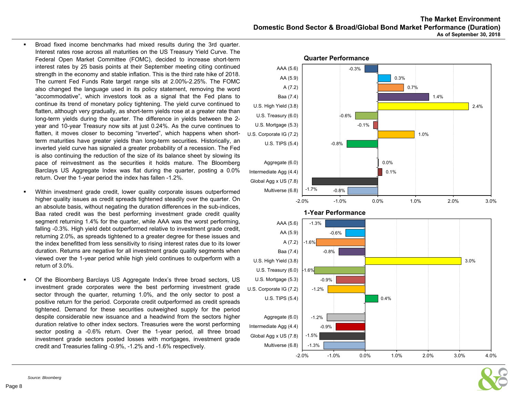- $\blacksquare$  Broad fixed income benchmarks had mixed results during the 3rd quarter. Interest rates rose across all maturities on the US Treasury Yield Curve. The Federal Open Market Committee (FOMC), decided to increase short-term interest rates by 25 basis points at their September meeting citing continued strength in the economy and stable inflation. This is the third rate hike of 2018. The current Fed Funds Rate target range sits at 2.00%-2.25%. The FOMC also changed the language used in its policy statement, removing the word "accommodative", which investors took as <sup>a</sup> signal that the Fed plans to continue its trend of monetary policy tightening. The yield curve continued to flatten, although very gradually, as short-term yields rose at <sup>a</sup> greater rate than long-term yields during the quarter. The difference in yields between the 2 year and 10-year Treasury now sits at just 0.24%. As the curve continues to flatten, it moves closer to becoming "inverted", which happens when shortterm maturities have greater yields than long-term securities. Historically, an inverted yield curve has signaled <sup>a</sup> greater probability of <sup>a</sup> recession. The Fed is also continuing the reduction of the size of its balance sheet by slowing its pace of reinvestment as the securities it holds mature. The Bloomberg Barclays US Aggregate Index was flat during the quarter, posting <sup>a</sup> 0.0% return. Over the 1-year period the index has fallen -1.2%.
- Within investment grade credit, lower quality corporate issues outperformed higher quality issues as credit spreads tightened steadily over the quarter. On an absolute basis, without negating the duration differences in the sub-indices, Baa rated credit was the best performing investment grade credit quality segment returning 1.4% for the quarter, while AAA was the worst performing, falling -0.3%. High yield debt outperformed relative to investment grade credit, returning 2.0%, as spreads tightened to <sup>a</sup> greater degree for these issues and the index benefitted from less sensitivity to rising interest rates due to its lower duration. Returns are negative for all investment grade quality segments when viewed over the 1-year period while high yield continues to outperform with <sup>a</sup> return of 3.0%.
- $\bullet$  Of the Bloomberg Barclays US Aggregate Index's three broad sectors, US investment grade corporates were the best performing investment grade sector through the quarter, returning 1.0%, and the only sector to post <sup>a</sup> positive return for the period. Corporate credit outperformed as credit spreads tightened. Demand for these securities outweighed supply for the period despite considerable new issuance and <sup>a</sup> headwind from the sectors higher duration relative to other index sectors. Treasuries were the worst performing sector posting <sup>a</sup> -0.6% return. Over the 1-year period, all three broad investment grade sectors posted losses with mortgages, investment grade credit and Treasuries falling -0.9%, -1.2% and -1.6% respectively.



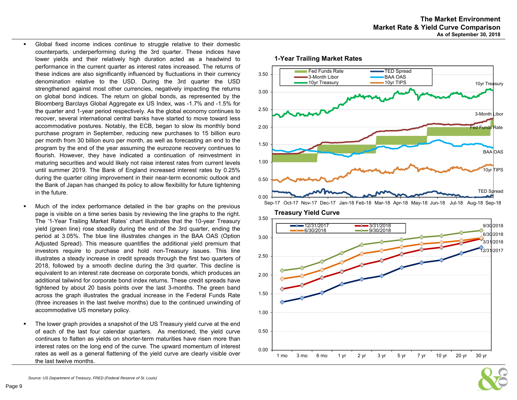- $\blacksquare$  Global fixed income indices continue to struggle relative to their domestic counterparts, underperforming during the 3rd quarter. These indices have lower yields and their relatively high duration acted as <sup>a</sup> headwind to performance in the current quarter as interest rates increased. The returns of these indices are also significantly influenced by fluctuations in their currency denomination relative to the USD. During the 3rd quarter the USD strengthened against most other currencies, negatively impacting the returns on global bond indices. The return on global bonds, as represented by the Bloomberg Barclays Global Aggregate ex US Index, was -1.7% and -1.5% for the quarter and 1-year period respectively. As the global economy continues to recover, several international central banks have started to move toward less accommodative postures. Notably, the ECB, began to slow its monthly bond purchase program in September, reducing new purchases to 15 billion euro per month from 30 billion euro per month, as well as forecasting an end to the program by the end of the year assuming the eurozone recovery continues to flourish. However, they have indicated <sup>a</sup> continuation of reinvestment in maturing securities and would likely not raise interest rates from current levels until summer 2019. The Bank of England increased interest rates by 0.25% during the quarter citing improvement in their near-term economic outlook and the Bank of Japan has changed its policy to allow flexibility for future tightening in the future.
- Much of the index performance detailed in the bar graphs on the previous page is visible on <sup>a</sup> time series basis by reviewing the line graphs to the right. The '1-Year Trailing Market Rates' chart illustrates that the 10-year Treasury yield (green line) rose steadily during the end of the 3rd quarter, ending the period at 3.05%. The blue line illustrates changes in the BAA OAS (Option Adjusted Spread). This measure quantifies the additional yield premium that investors require to purchase and hold non-Treasury issues. This line illustrates <sup>a</sup> steady increase in credit spreads through the first two quarters of 2018, followed by <sup>a</sup> smooth decline during the 3rd quarter. This decline is equivalent to an interest rate decrease on corporate bonds, which produces an additional tailwind for corporate bond index returns. These credit spreads have tightened by about 20 basis points over the last 3-months. The green band across the graph illustrates the gradual increase in the Federal Funds Rate (three increases in the last twelve months) due to the continued unwinding of accommodative US monetary policy.
- The lower graph provides <sup>a</sup> snapshot of the US Treasury yield curve at the end of each of the last four calendar quarters. As mentioned, the yield curve continues to flatten as yields on shorter-term maturities have risen more than interest rates on the long end of the curve. The upward momentum of interest rates as well as <sup>a</sup> general flattening of the yield curve are clearly visible over the last twelve months.

# **1-Year Trailing Market Rates**



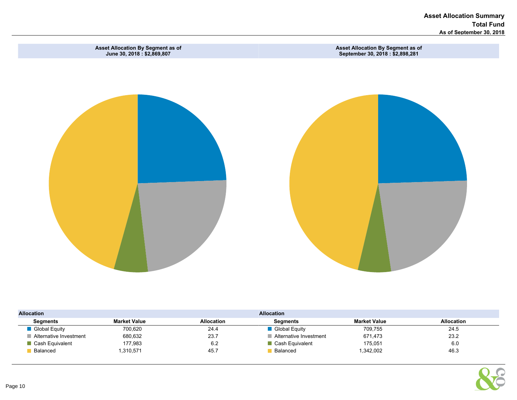Asset Allocation Summary Total Fund As of September 30, 2018



| <b>Allocation</b>      |                     |                   | <b>Allocation</b>      |                     |                   |
|------------------------|---------------------|-------------------|------------------------|---------------------|-------------------|
| Segments               | <b>Market Value</b> | <b>Allocation</b> | Segments               | <b>Market Value</b> | <b>Allocation</b> |
| Global Equity          | 700,620             | 24.4              | Global Equity          | 709,755             | 24.5              |
| Alternative Investment | 680,632             | 23.7              | Alternative Investment | 671.473             | 23.2              |
| Cash Equivalent        | 177,983             | 6.2               | Cash Equivalent        | 175,051             | 6.0               |
| Balanced               | 1,310,571           | 45.7              | Balanced               | 1,342,002           | 46.3              |

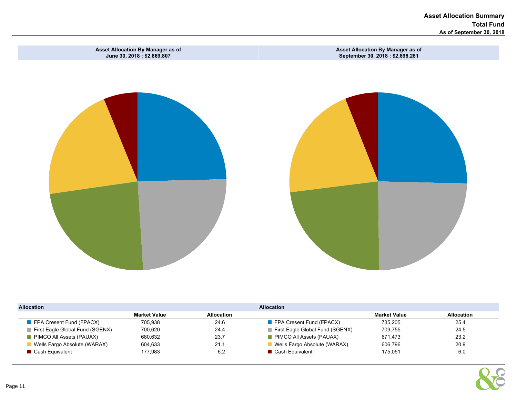Asset Allocation Summary Total Fund As of September 30, 2018



| <b>Allocation</b>                       |                     |            | <b>Allocation</b>                       |                     |                   |  |  |  |  |  |  |
|-----------------------------------------|---------------------|------------|-----------------------------------------|---------------------|-------------------|--|--|--|--|--|--|
|                                         | <b>Market Value</b> | Allocation |                                         | <b>Market Value</b> | <b>Allocation</b> |  |  |  |  |  |  |
| $\blacksquare$ FPA Cresent Fund (FPACX) | 705.938             | 24.6       | $\blacksquare$ FPA Cresent Fund (FPACX) | 735.205             | 25.4              |  |  |  |  |  |  |
| First Eagle Global Fund (SGENX)         | 700.620             | 24.4       | First Eagle Global Fund (SGENX)         | 709,755             | 24.5              |  |  |  |  |  |  |
| PIMCO All Assets (PAUAX)                | 680.632             | 23.7       | PIMCO All Assets (PAUAX)                | 671.473             | 23.2              |  |  |  |  |  |  |
| Wells Fargo Absolute (WARAX)            | 604.633             | 21.1       | Wells Fargo Absolute (WARAX)            | 606.796             | 20.9              |  |  |  |  |  |  |
| Cash Equivalent                         | 177.983             | 6.2        | Cash Equivalent                         | 175.051             | 6.0               |  |  |  |  |  |  |

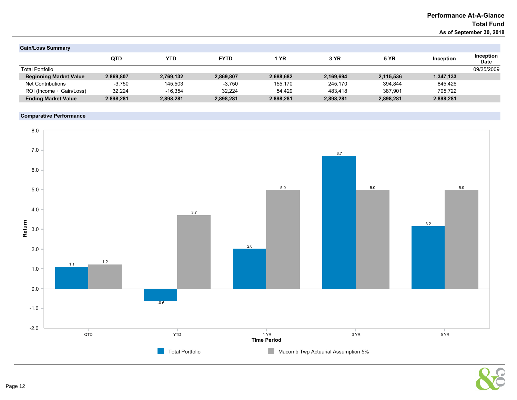# Performance At-A-Glance Total Fund As of September 30, 2018

| <b>Gain/Loss Summary</b>      |            |           |             |           |           |             |           |                          |
|-------------------------------|------------|-----------|-------------|-----------|-----------|-------------|-----------|--------------------------|
|                               | <b>QTD</b> | YTD       | <b>FYTD</b> | 1 YR      | 3 YR      | <b>5 YR</b> | Inception | Inception<br><b>Date</b> |
| <b>Total Portfolio</b>        |            |           |             |           |           |             |           | 09/25/2009               |
| <b>Beginning Market Value</b> | 2,869,807  | 2,769,132 | 2,869,807   | 2,688,682 | 2,169,694 | 2,115,536   | 1,347,133 |                          |
| <b>Net Contributions</b>      | $-3.750$   | 145.503   | $-3.750$    | 155.170   | 245.170   | 394.844     | 845.426   |                          |
| ROI (Income + Gain/Loss)      | 32.224     | $-16.354$ | 32.224      | 54.429    | 483.418   | 387.901     | 705.722   |                          |
| <b>Ending Market Value</b>    | 2,898,281  | 2,898,281 | 2,898,281   | 2,898,281 | 2,898,281 | 2,898,281   | 2,898,281 |                          |

# Comparative Performance



# Page 12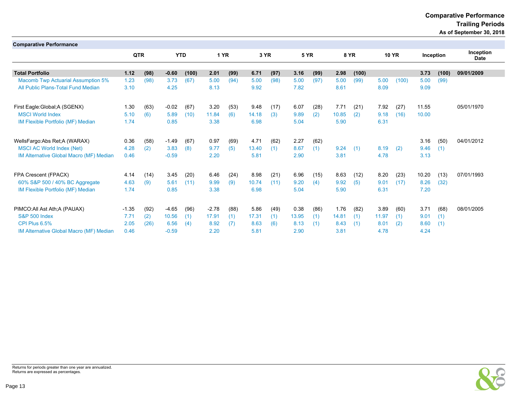# **Comparative Performance**

 **Trailing Periods**

**As of September 30, 2018**

| <b>Comparative Performance</b>            |         |      |         |            |         |      |       |      |             |      |       |             |       |              |       |           |                          |
|-------------------------------------------|---------|------|---------|------------|---------|------|-------|------|-------------|------|-------|-------------|-------|--------------|-------|-----------|--------------------------|
|                                           | QTR     |      |         | <b>YTD</b> |         | 1 YR | 3 YR  |      | <b>5 YR</b> |      |       | <b>8 YR</b> |       | <b>10 YR</b> |       | Inception | Inception<br><b>Date</b> |
|                                           |         |      |         |            |         |      |       |      |             |      |       |             |       |              |       |           |                          |
| <b>Total Portfolio</b>                    | 1.12    | (98) | $-0.60$ | (100)      | 2.01    | (99) | 6.71  | (97) | 3.16        | (99) | 2.98  | (100)       |       |              | 3.73  | (100)     | 09/01/2009               |
| <b>Macomb Twp Actuarial Assumption 5%</b> | 1.23    | (98) | 3.73    | (67)       | 5.00    | (94) | 5.00  | (98) | 5.00        | (97) | 5.00  | (99)        | 5.00  | (100)        | 5.00  | (99)      |                          |
| All Public Plans-Total Fund Median        | 3.10    |      | 4.25    |            | 8.13    |      | 9.92  |      | 7.82        |      | 8.61  |             | 8.09  |              | 9.09  |           |                          |
| First Eagle: Global; A (SGENX)            | 1.30    | (63) | $-0.02$ | (67)       | 3.20    | (53) | 9.48  | (17) | 6.07        | (28) | 7.71  | (21)        | 7.92  | (27)         | 11.55 |           | 05/01/1970               |
| <b>MSCI World Index</b>                   | 5.10    | (6)  | 5.89    | (10)       | 11.84   | (6)  | 14.18 | (3)  | 9.89        | (2)  | 10.85 | (2)         | 9.18  | (16)         | 10.00 |           |                          |
| IM Flexible Portfolio (MF) Median         | 1.74    |      | 0.85    |            | 3.38    |      | 6.98  |      | 5.04        |      | 5.90  |             | 6.31  |              |       |           |                          |
| WellsFargo: Abs Ret; A (WARAX)            | 0.36    | (58) | $-1.49$ | (67)       | 0.97    | (69) | 4.71  | (62) | 2.27        | (62) |       |             |       |              | 3.16  | (50)      | 04/01/2012               |
| <b>MSCI AC World Index (Net)</b>          | 4.28    | (2)  | 3.83    | (8)        | 9.77    | (5)  | 13.40 | (1)  | 8.67        | (1)  | 9.24  | (1)         | 8.19  | (2)          | 9.46  | (1)       |                          |
| IM Alternative Global Macro (MF) Median   | 0.46    |      | $-0.59$ |            | 2.20    |      | 5.81  |      | 2.90        |      | 3.81  |             | 4.78  |              | 3.13  |           |                          |
| FPA Crescent (FPACX)                      | 4.14    | (14) | 3.45    | (20)       | 6.46    | (24) | 8.98  | (21) | 6.96        | (15) | 8.63  | (12)        | 8.20  | (23)         | 10.20 | (13)      | 07/01/1993               |
| 60% S&P 500 / 40% BC Aggregate            | 4.63    | (9)  | 5.61    | (11)       | 9.99    | (9)  | 10.74 | (11) | 9.20        | (4)  | 9.92  | (5)         | 9.01  | (17)         | 8.26  | (32)      |                          |
| IM Flexible Portfolio (MF) Median         | 1.74    |      | 0.85    |            | 3.38    |      | 6.98  |      | 5.04        |      | 5.90  |             | 6.31  |              | 7.20  |           |                          |
| PIMCO: All Ast Ath; A (PAUAX)             | $-1.35$ | (92) | $-4.65$ | (96)       | $-2.78$ | (88) | 5.86  | (49) | 0.38        | (86) | 1.76  | (82)        | 3.89  | (60)         | 3.71  | (68)      | 08/01/2005               |
| <b>S&amp;P 500 Index</b>                  | 7.71    | (2)  | 10.56   | (1)        | 17.91   | (1)  | 17.31 | (1)  | 13.95       | (1)  | 14.81 | (1)         | 11.97 | (1)          | 9.01  | (1)       |                          |
| CPI Plus 6.5%                             | 2.05    | (26) | 6.56    | (4)        | 8.92    | (7)  | 8.63  | (6)  | 8.13        | (1)  | 8.43  | (1)         | 8.01  | (2)          | 8.60  | (1)       |                          |
| IM Alternative Global Macro (MF) Median   | 0.46    |      | $-0.59$ |            | 2.20    |      | 5.81  |      | 2.90        |      | 3.81  |             | 4.78  |              | 4.24  |           |                          |

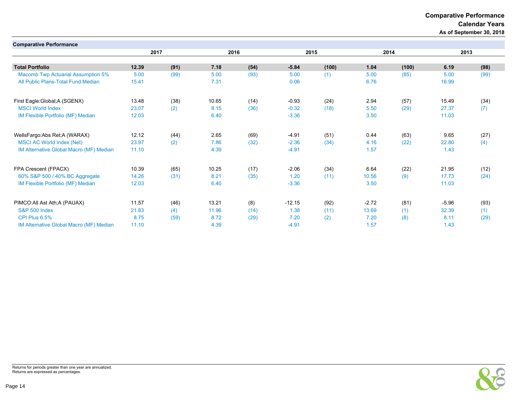Comparative Performance

Calendar Years

As of September 30, 2018

| <b>Comparative Performance</b>            |       |      |       |      |          |       |         |       |         |      |
|-------------------------------------------|-------|------|-------|------|----------|-------|---------|-------|---------|------|
|                                           | 2017  |      | 2016  |      |          | 2015  |         | 2014  | 2013    |      |
|                                           |       |      |       |      |          |       |         |       |         |      |
| <b>Total Portfolio</b>                    | 12.39 | (91) | 7.18  | (54) | $-5.84$  | (100) | 1.04    | (100) | 6.19    | (98) |
| <b>Macomb Twp Actuarial Assumption 5%</b> | 5.00  | (99) | 5.00  | (93) | 5.00     | (1)   | 5.00    | (85)  | 5.00    | (99) |
| All Public Plans-Total Fund Median        | 15.41 |      | 7.31  |      | 0.06     |       | 6.76    |       | 16.99   |      |
| First Eagle: Global; A (SGENX)            | 13.48 | (38) | 10.65 | (14) | $-0.93$  | (24)  | 2.94    | (57)  | 15.49   | (34) |
| <b>MSCI World Index</b>                   | 23.07 | (2)  | 8.15  | (36) | $-0.32$  | (18)  | 5.50    | (29)  | 27.37   | (7)  |
| IM Flexible Portfolio (MF) Median         | 12.03 |      | 6.40  |      | $-3.36$  |       | 3.50    |       | 11.03   |      |
| WellsFargo:Abs Ret;A (WARAX)              | 12.12 | (44) | 2.65  | (69) | $-4.91$  | (51)  | 0.44    | (63)  | 9.65    | (27) |
| <b>MSCI AC World Index (Net)</b>          | 23.97 | (2)  | 7.86  | (32) | $-2.36$  | (34)  | 4.16    | (22)  | 22.80   | (4)  |
| IM Alternative Global Macro (MF) Median   | 11.10 |      | 4.39  |      | $-4.91$  |       | 1.57    |       | 1.43    |      |
| FPA Crescent (FPACX)                      | 10.39 | (65) | 10.25 | (17) | $-2.06$  | (34)  | 6.64    | (22)  | 21.95   | (12) |
| 60% S&P 500 / 40% BC Aggregate            | 14.26 | (31) | 8.21  | (35) | 1.20     | (11)  | 10.56   | (9)   | 17.73   | (24) |
| IM Flexible Portfolio (MF) Median         | 12.03 |      | 6.40  |      | $-3.36$  |       | 3.50    |       | 11.03   |      |
| PIMCO: All Ast Ath: A (PAUAX)             | 11.57 | (46) | 13.21 | (8)  | $-12.15$ | (92)  | $-2.72$ | (81)  | $-5.96$ | (93) |
| <b>S&amp;P 500 Index</b>                  | 21.83 | (4)  | 11.96 | (14) | 1.38     | (11)  | 13.69   | (1)   | 32.39   | (1)  |
| CPI Plus 6.5%                             | 8.75  | (59) | 8.72  | (29) | 7.20     | (2)   | 7.20    | (8)   | 8.11    | (29) |
| IM Alternative Global Macro (MF) Median   | 11.10 |      | 4.39  |      | $-4.91$  |       | 1.57    |       | 1.43    |      |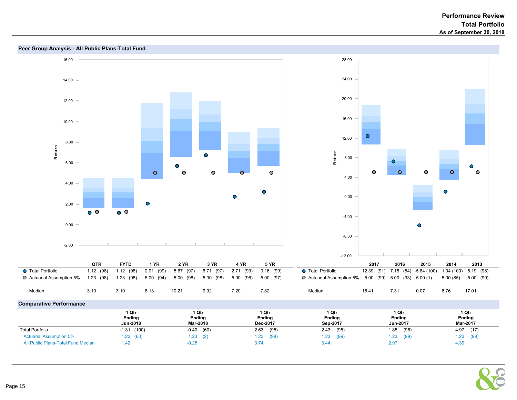

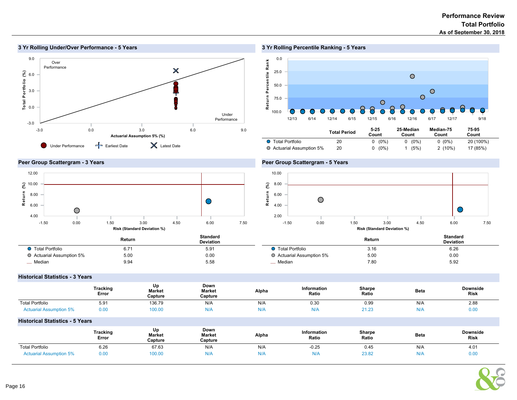$\bullet$ 





0.0 25.0

50.0

Return Percentile Rank eturn Percentile R ank

75.0

100.0



Total Period 5-25 Count 25-Median Count Median-75 Count 75-95 Count Total Portfolio 20 0 (0%) 0 (0%) 0 (0%) 20 (100%) Actuarial Assumption 5% 20 0 (0%) 1 (5%) 2 (10%) 17 (85%)

 $\circ$ 

12/13 6/14 12/14 6/15 12/15 6/16 12/16 6/17 12/17 9/18

 $\overline{O}$ 

 $\circ$  $\overline{O}$ 

# Peer Group Scattergram - 3 Years



# Peer Group Scattergram - 5 Years



|                           | Return | <b>Standard</b><br><b>Deviation</b> |                           | Return | <b>Standard</b><br><b>Deviation</b> |
|---------------------------|--------|-------------------------------------|---------------------------|--------|-------------------------------------|
| ● Total Portfolio         | b.7    | 5.91                                | Total Portfolio           | 3.16   | 6.26                                |
| ○ Actuarial Assumption 5% | 5.00   | 0.00                                | ○ Actuarial Assumption 5% | 5.00   | 0.00                                |
| Median                    | 9.94   | 5.58                                | - Median                  | 7.80   | 5.92                                |

#### Historical Statistics - 3 Years

|                                | <b>Tracking</b><br>Error | Up<br><b>Market</b><br>Capture | Down<br><b>Market</b><br>Capture | Alpha | Information<br>Ratio | Sharpe<br>Ratio | <b>Beta</b> | <b>Downside</b><br>Risk |
|--------------------------------|--------------------------|--------------------------------|----------------------------------|-------|----------------------|-----------------|-------------|-------------------------|
| <b>Total Portfolio</b>         | 5.91                     | 136.79                         | N/A                              | N/A   | 0.30                 | 0.99            | N/A         | 2.88                    |
| <b>Actuarial Assumption 5%</b> | 0.00                     | 00.00                          | wr                               | N≀H   | N/A                  | 21.23           | N/F         | 0.00                    |

#### Historical Statistics - 5 Years

|                                | <b>Tracking</b><br>Error | Up<br><b>Market</b><br>Capture | Down<br><b>Market</b><br>Capture | Alpha | <b>Information</b><br>Ratio | <b>Sharpe</b><br>Ratio | <b>Beta</b> | <b>Downside</b><br><b>Risk</b> |
|--------------------------------|--------------------------|--------------------------------|----------------------------------|-------|-----------------------------|------------------------|-------------|--------------------------------|
| <b>Total Portfolio</b>         | 6.26                     | 67.63                          | N/A                              | N/A   | $-0.25$                     | 0.45                   | N/A         | 4.01                           |
| <b>Actuarial Assumption 5%</b> | 0.00                     | 100.00                         | N/A                              | N/A   | N/A                         | 23.82                  | N/A         | 0.00                           |

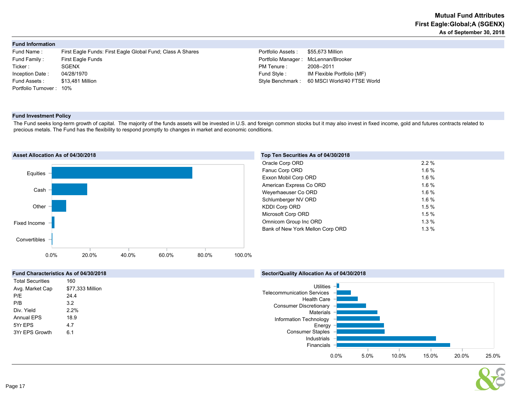|  | Fund Information |  |
|--|------------------|--|
|--|------------------|--|

| Fund Name :             | First Eagle Funds: First Eagle Global Fund; Class A Shares | Portfolio Assets:  | \$55,673 Million       |
|-------------------------|------------------------------------------------------------|--------------------|------------------------|
| Fund Family :           | <b>First Eagle Funds</b>                                   | Portfolio Manager: | McLennan/Bro           |
| Ticker :                | <b>SGENX</b>                                               | PM Tenure :        | 2008--2011             |
| Inception Date:         | 04/28/1970                                                 | Fund Style :       | <b>IM Flexible Por</b> |
| Fund Assets :           | \$13.481 Million                                           | Style Benchmark:   | 60 MSCI World          |
| Portfolio Turnover: 10% |                                                            |                    |                        |
|                         |                                                            |                    |                        |

Inager : McLennan/Brooker IM Flexible Portfolio (MF) Imark : 60 MSCI World/40 FTSE World

#### Fund Investment Policy

The Fund seeks long-term growth of capital. The majority of the funds assets will be invested in U.S. and foreign common stocks but it may also invest in fixed income, gold and futures contracts related to precious metals. The Fund has the flexibility to respond promptly to changes in market and economic conditions.



| Top Ten Securities As of 04/30/2018 |         |  |
|-------------------------------------|---------|--|
| Oracle Corp ORD                     | $2.2\%$ |  |
| Fanuc Corp ORD                      | 1.6%    |  |
| Exxon Mobil Corp ORD                | 1.6%    |  |
| American Express Co ORD             | 1.6%    |  |
| Weyerhaeuser Co ORD                 | 1.6%    |  |
| Schlumberger NV ORD                 | 1.6%    |  |
| <b>KDDI Corp ORD</b>                | 1.5%    |  |
| Microsoft Corp ORD                  | 1.5%    |  |
| Omnicom Group Inc ORD               | $1.3\%$ |  |
| Bank of New York Mellon Corp ORD    | 1.3%    |  |
|                                     |         |  |



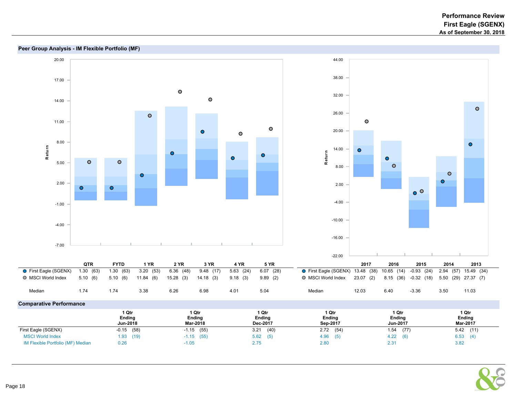#### Peer Group Analysis - IM Flexible Portfolio (MF) 20.00 44.00 38.00 17.00  $\bullet$ 32.00  $\bullet$ 14.00  $\bullet$ 26.00  $\bullet$  $\bullet$ 11.00  $\bullet$  $\bullet$ 20.00  $\bullet$ 8.00  $\bullet$ R eturn 14.00  $\bullet$  $\bullet$ R eturn  $\bullet$  $\bullet$  $\bullet$  $\bullet$  $\bullet$ 5.00  $\bullet$ 8.00  $\bullet$  $\bullet$  $\bullet$ 2.00 2.00  $\bullet$  $\bullet$  $\circ$   $\circ$ -4.00 -1.00 -10.00 -4.00 -16.00 -7.00 -22.00 QTR FYTD 1 YR 2 YR 3 YR 4 YR 5 YR 2017 2016 2015 2014 2013 ● First Eagle (SGENX) 1.30 (63) 1.30 (63) 3.20 (53) 6.36 (48) 9.48 (17) 5.63 (24) 6.07 (28)<br>● MSCI World Index 5.10 (6) 5.10 (6) 11.84 (6) 15.28 (3) 14.18 (3) 9.18 (3) 9.89 (2) First Eagle (SGENX) 13.48 (38) 10.65 (14) -0.93 (24) 2.94 (57) 15.49 (34) MSCI World Index 5.10 (6) 5.10 (6) 11.84 (6) 15.28 (3) 14.18 (3) 9.18 (3) 9.89 (2) MSCI World Index 23.07 (2) 8.15 (36) -0.32 (18) 5.50 (29) 27.37 (7) Median 1.74 1.74 3.38 6.26 6.98 4.01 5.04 Median 12.03 6.40 -3.36 3.50 11.03 Comparative Performance

|                                   | 1 Qtr    | ∣ Qtr         | 1 Qtr       | 1 Qtr         | 1 Qtr       | 1 Qtr           |
|-----------------------------------|----------|---------------|-------------|---------------|-------------|-----------------|
|                                   | Ending   | <b>Ending</b> | Ending      | <b>Ending</b> | Ending      | Ending          |
|                                   | Jun-2018 | Mar-2018      | Dec-2017    | Sep-2017      | Jun-2017    | <b>Mar-2017</b> |
| First Eagle (SGENX)               | (58)     | (55)          | (40)        | 2.72          | (77)        | (11)            |
|                                   | $-0.15$  | $-1.15$       | 3.21        | (54)          | 1.54        | 5.42            |
| <b>MSCI World Index</b>           | 1.93(19) | $-1.15$ (55)  | 5.62<br>(5) | 4.96<br>(5)   | 4.22<br>(6) | 6.53<br>(4)     |
| IM Flexible Portfolio (MF) Median | 0.26     | $-1.05$       | 2.75        | 2.80          | 2.31        | 3.82            |

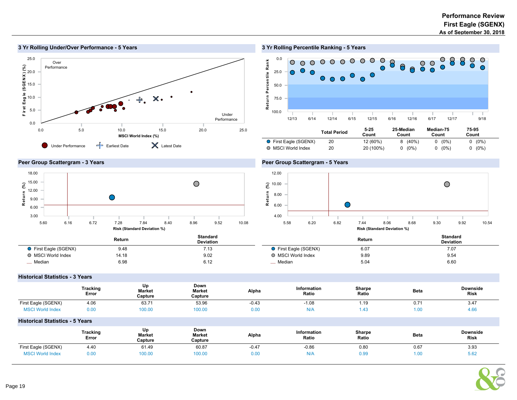

# 3 Yr Rolling Percentile Ranking - 5 Years



|                       |    | COUNT     | COUNT     | Count    | COUNT    |  |
|-----------------------|----|-----------|-----------|----------|----------|--|
| ● First Eagle (SGENX) |    | 12 (60%)  | $8(40\%)$ | $0(0\%)$ | $0(0\%)$ |  |
| O MSCI World Index    | 20 | 20 (100%) | $0(0\%)$  | $0(0\%)$ | $0(0\%)$ |  |

# Peer Group Scattergram - 3 Years



# Peer Group Scattergram - 5 Years



|                       | Return | Standard<br><b>Deviation</b> |                     | Return         | <b>Standard</b><br><b>Deviation</b> |
|-----------------------|--------|------------------------------|---------------------|----------------|-------------------------------------|
| ● First Eagle (SGENX) | 9.48   | 7.13                         | First Eagle (SGENX) | 6.07<br>$\sim$ | 7.07                                |
| O MSCI World Index    | 14.18  | 9.02                         | O MSCI World Index  | 9.89           | 9.54                                |
| _ Median              | 6.98   | 6.12                         | _ Median            | 5.04           | 6.60                                |

# Historical Statistics - 3 Years

|                                        | <b>Tracking</b><br>Error | Up<br>Market<br>Capture | Down<br>Market<br>Capture | Alpha   | Information<br>Ratio | Sharpe<br>Ratio | <b>Beta</b> | Downside<br><b>Risk</b> |
|----------------------------------------|--------------------------|-------------------------|---------------------------|---------|----------------------|-----------------|-------------|-------------------------|
| First Eagle (SGENX)                    | 4.06                     | 63.71                   | 53.96                     | $-0.43$ | $-1.08$              | 1.19            | 0.71        | 3.47                    |
| <b>MSCI World Index</b>                | 0.00                     | 100.00                  | 100.00                    | 0.00    | N/A                  | 1.43            | 1.00        | 4.66                    |
| <b>Historical Statistics - 5 Years</b> |                          |                         |                           |         |                      |                 |             |                         |
|                                        | <b>Tracking</b><br>Error | Up<br>Market<br>Capture | Down<br>Market<br>Capture | Alpha   | Information<br>Ratio | Sharpe<br>Ratio | <b>Beta</b> | Downside<br><b>Risk</b> |
| First Eagle (SGENX)                    | 4.40                     | 61.49                   | 60.87                     | $-0.47$ | $-0.86$              | 0.80            | 0.67        | 3.93                    |
| <b>MSCI World Index</b>                | 0.00                     | 100.00                  | 100.00                    | 0.00    | N/A                  | 0.99            | 1.00        | 5.62                    |

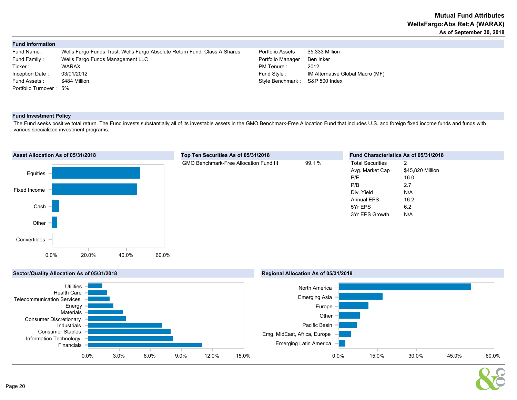| <b>Fund Information</b> |                                                                           |                    |                                  |
|-------------------------|---------------------------------------------------------------------------|--------------------|----------------------------------|
| Fund Name:              | Wells Fargo Funds Trust: Wells Fargo Absolute Return Fund: Class A Shares | Portfolio Assets:  | \$5,333 Million                  |
| Fund Family:            | Wells Fargo Funds Management LLC                                          | Portfolio Manager: | Ben Inker                        |
| Ticker :                | <b>WARAX</b>                                                              | PM Tenure :        | 2012                             |
| Inception Date:         | 03/01/2012                                                                | Fund Style:        | IM Alternative Global Macro (MF) |
| Fund Assets :           | \$484 Million                                                             | Style Benchmark:   | S&P 500 Index                    |
| Portfolio Turnover: 5%  |                                                                           |                    |                                  |
|                         |                                                                           |                    |                                  |

#### Fund Investment Policy

The Fund seeks positive total return. The Fund invests substantially all of its investable assets in the GMO Benchmark-Free Allocation Fund that includes U.S. and foreign fixed income funds and funds with various specialized investment programs.





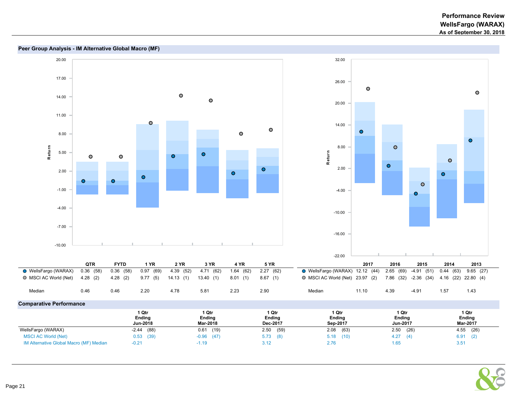



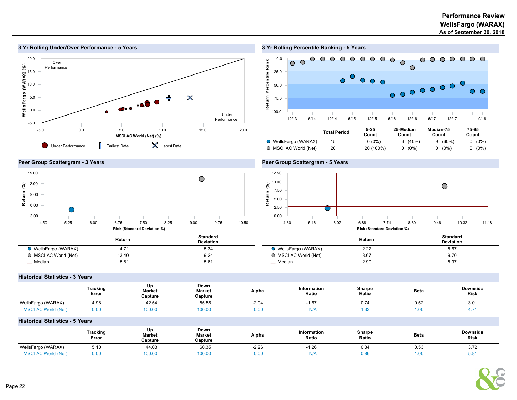

# 3 Yr Rolling Percentile Ranking - 5 Years



#### Peer Group Scattergram - 3 Years



#### Peer Group Scattergram - 5 Years



|                       | Return        | Standard<br><b>Deviation</b> |                       | Return | <b>Standard</b><br><b>Deviation</b> |
|-----------------------|---------------|------------------------------|-----------------------|--------|-------------------------------------|
| ● WellsFargo (WARAX)  |               | 5.34                         | WellsFargo (WARAX)    | 2.27   | 5.67                                |
| ○ MSCI AC World (Net) | 13.40         | 9.24                         | ◯ MSCI AC World (Net) | 8.67   | 9.70                                |
| Median                | $5.8^{\circ}$ | $5.6^{\circ}$                | _ Median              | 2.90   | 5.97                                |

#### Historical Statistics - 3 Years

|                            | <b>Tracking</b><br>Error | Up<br><b>Market</b><br>Capture | Down<br><b>Market</b><br>Capture | Alpha   | Information<br>Ratio | Sharpe<br>Ratio | <b>Beta</b>           | <b>Downside</b><br><b>Risk</b> |
|----------------------------|--------------------------|--------------------------------|----------------------------------|---------|----------------------|-----------------|-----------------------|--------------------------------|
| WellsFargo (WARAX)         | 4.98                     | 42.54                          | 55.56                            | $-2.04$ | 67<br>$-1.01$        | 0.74            | $\sim$ $\sim$<br>0.52 | 3.01<br>$\sim$                 |
| <b>MSCI AC World (Net)</b> | 0.00                     | 100.00                         | 100.00                           | 0.00    | N/A                  | 1.33            | 0.00                  | T.I                            |

#### Historical Statistics - 5 Years

|                            | <b>Tracking</b><br>Error | Up<br><b>Market</b><br>Capture | Down<br>Market<br>Capture | Alpha                         | <b>Information</b><br>Ratio | Sharpe<br>Ratio<br>. | <b>Beta</b> | <b>Downside</b><br><b>Risk</b> |
|----------------------------|--------------------------|--------------------------------|---------------------------|-------------------------------|-----------------------------|----------------------|-------------|--------------------------------|
| WellsFargo (WARAX)         | 5.10                     | 44.03                          | 60.35                     | $-2.26$                       | 1.26                        | 0.34                 | 0.53        | 3.72                           |
| <b>MSCI AC World (Net)</b> | 0.00                     | 100.00                         | 100.00                    | $\overline{2}$<br><b>U.UG</b> | $\mathbf{N}$                | 0.86                 | UU          |                                |

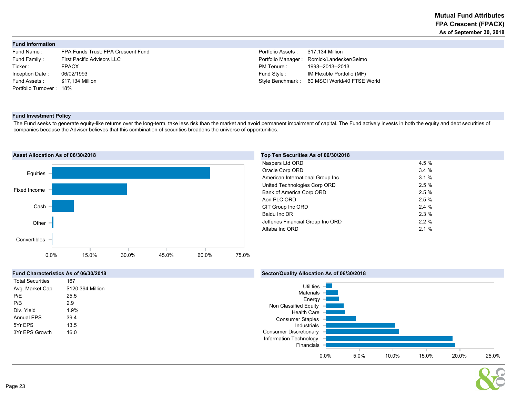#### Fund Information

| Fund Name:              | FPA Funds Trust: FPA Crescent Fund |
|-------------------------|------------------------------------|
| Fund Family:            | <b>First Pacific Advisors LLC</b>  |
| Ticker:                 | <b>FPACX</b>                       |
| Inception Date:         | 06/02/1993                         |
| Fund Assets :           | \$17.134 Million                   |
| Portfolio Turnover: 18% |                                    |

Portfolio Assets: \$17,134 Million Portfolio Manager : Romick/Landecker/Selmo PM Tenure : 1993--2013--2013 Fund Style : 06 IM Flexible Portfolio (MF) Style Benchmark : 60 MSCI World/40 FTSE World

#### Fund Investment Policy

The Fund seeks to generate equity-like returns over the long-term, take less risk than the market and avoid permanent impairment of capital. The Fund actively invests in both the equity and debt securities of companies because the Adviser believes that this combination of securities broadens the universe of opportunities.



#### Top Ten Securities As of 06/30/2018

| Naspers Ltd ORD                   | 4.5 % |
|-----------------------------------|-------|
| Oracle Corp ORD                   | 3.4%  |
| American International Group Inc  | 3.1%  |
| United Technologies Corp ORD      | 2.5%  |
| Bank of America Corp ORD          | 2.5%  |
| Aon PLC ORD                       | 2.5%  |
| CIT Group Inc ORD                 | 2.4%  |
| Baidu Inc DR                      | 2.3%  |
| Jefferies Financial Group Inc ORD | 2.2%  |
| Altaba Inc ORD                    | 2.1%  |



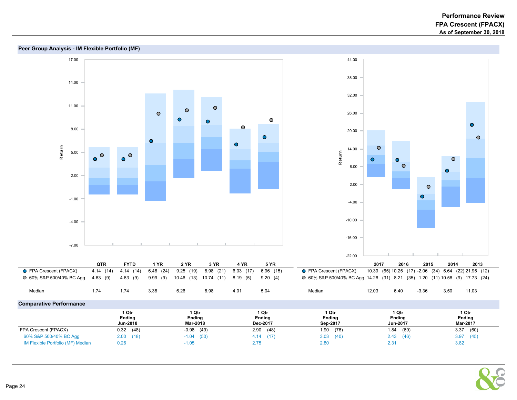



# Peer Group Analysis - IM Flexible Portfolio (MF)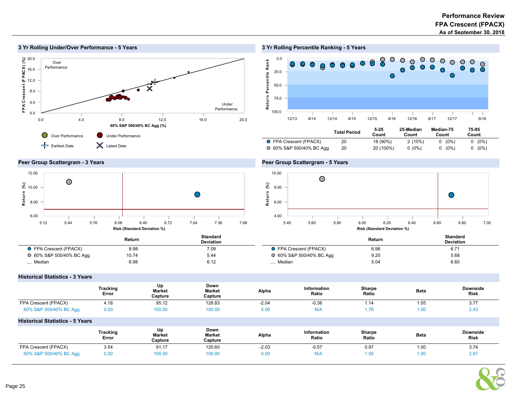

# 3 Yr Rolling Percentile Ranking - 5 Years



|                          | <b>Total Period</b> | $5 - 25$<br>Count | 25-Median<br>Count | Median-75<br>Count | 75-95<br>Count |  |
|--------------------------|---------------------|-------------------|--------------------|--------------------|----------------|--|
| ● FPA Crescent (FPACX)   | 20                  | 18 (90%)          | $2(10\%)$          | $0(0\%)$           | $(0\%)$<br>0   |  |
| ○ 60% S&P 500/40% BC Agg | 20                  | 20 (100%)         | $0(0\%)$           | $0(0\%)$           | $(0\%)$<br>0   |  |

# Peer Group Scattergram - 3 Years



# Peer Group Scattergram - 5 Years



|                          | Return | Standard<br><b>Deviation</b> |                          | Return | Standard<br><b>Deviation</b> |
|--------------------------|--------|------------------------------|--------------------------|--------|------------------------------|
| ● FPA Crescent (FPACX)   | 8.98   | 7.09                         | ● FPA Crescent (FPACX)   | 6.96   | 6.7'                         |
| ○ 60% S&P 500/40% BC Agg | 10.74  | 5.44                         | ○ 60% S&P 500/40% BC Agg | 9.20   | 5.68                         |
| _ Median                 | 6.98   | 6.12                         | <sub>_</sub> __ Median   | 5.04   | 6.60                         |

 $\overline{a}$ 

Historical Statistics - 3 Years

|                        | Tracking<br>Error | Un<br><b>Market</b><br>Capture | Down<br><b>Market</b><br>Capture | Alpha   | <b>Information</b><br>Ratio | Sharpe<br>Ratio | <b>Beta</b> | <b>Downside</b><br>Risk |
|------------------------|-------------------|--------------------------------|----------------------------------|---------|-----------------------------|-----------------|-------------|-------------------------|
| FPA Crescent (FPACX)   | 4.18              | 95.12                          | 128.83                           | $-2.04$ | $-0.36$                     | 14، ،           | 1.05        | 3.11                    |
| 60% S&P 500/40% BC Agg | 0.00              | 100.00                         | 100.00                           | 0.00    | N/A                         |                 | .00.        | 2.4.5                   |

#### Historical Statistics - 5 Years

|                        | Tracking<br>Error | Up<br><b>Market</b><br>Capture | Down<br>Market<br>Capture | Alpha   | <b>Information</b><br>Ratio | Sharpe<br>Ratio | <b>Beta</b> | <b>Downside</b><br><b>Risk</b> |
|------------------------|-------------------|--------------------------------|---------------------------|---------|-----------------------------|-----------------|-------------|--------------------------------|
| FPA Crescent (FPACX)   | 3.54              | 91.17                          | 120.60                    | $-2.03$ | $-0.57$                     | 0.97            | 1.00        | 3.74                           |
| 60% S&P 500/40% BC Agg | 0.00              | 100.00                         | 100.00                    | 0.00    | N/A                         |                 | l.oc        | $2.8^{\circ}$                  |

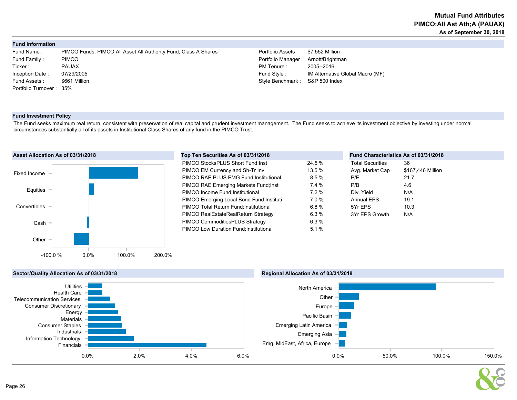#### Fund Information

| Fund Name:              | PIMCO Funds: PIMCO All Asset All Authority Fund: Class A Shares | Portfolio Assets :                | \$7,552 Million       |
|-------------------------|-----------------------------------------------------------------|-----------------------------------|-----------------------|
| Fund Family:            | <b>PIMCO</b>                                                    | Portfolio Manager: Arnott/Brightm |                       |
| Ticker :                | <b>PAUAX</b>                                                    | PM Tenure :                       | 2005--2016            |
| Inception Date:         | 07/29/2005                                                      | Fund Style :                      | <b>IM Alternative</b> |
| Fund Assets:            | \$661 Million                                                   | Style Benchmark: S&P 500 Inde     |                       |
| Portfolio Turnover: 35% |                                                                 |                                   |                       |
|                         |                                                                 |                                   |                       |

Aanager : Arnott/Brightman Inception Date IM Alternative Global Macro (MF)  $chmark :$  S&P 500 Index

#### Fund Investment Policy

The Fund seeks maximum real return, consistent with preservation of real capital and prudent investment management. The Fund seeks to achieve its investment objective by investing under normal circumstances substantially all of its assets in Institutional Class Shares of any fund in the PIMCO Trust.



| Top Ten Securities As of 03/31/2018       |          | Fund Characteristics As of 03/31/2018 |                   |  |
|-------------------------------------------|----------|---------------------------------------|-------------------|--|
| PIMCO StocksPLUS Short Fund: Inst         | 24.5 %   | <b>Total Securities</b>               | 36                |  |
| PIMCO EM Currency and Sh-Tr Inv           | 13.5 %   | Avg. Market Cap                       | \$167,446 Million |  |
| PIMCO RAE PLUS EMG Fund; Institutional    | 8.5%     | P/E                                   | 21.7              |  |
| PIMCO RAE Emerging Markets Fund; Inst     | 7.4%     | P/B                                   | 4.6               |  |
| PIMCO Income Fund; Institutional          | $7.2\%$  | Div. Yield                            | N/A               |  |
| PIMCO Emerging Local Bond Fund; Instituti | $7.0 \%$ | <b>Annual EPS</b>                     | 19.1              |  |
| PIMCO Total Return Fund; Institutional    | 6.8%     | 5Yr EPS                               | 10.3              |  |
| PIMCO RealEstateRealReturn Strategy       | 6.3%     | 3Yr EPS Growth                        | N/A               |  |
| PIMCO CommoditiesPLUS Strategy            | 6.3%     |                                       |                   |  |
| PIMCO Low Duration Fund; Institutional    | 5.1%     |                                       |                   |  |
|                                           |          |                                       |                   |  |



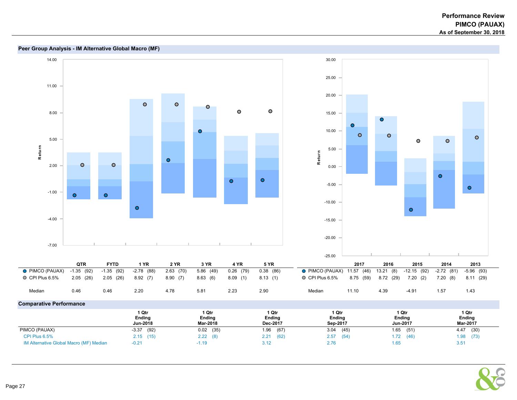

#### Peer Group Analysis - IM Alternative Global Macro (MF)

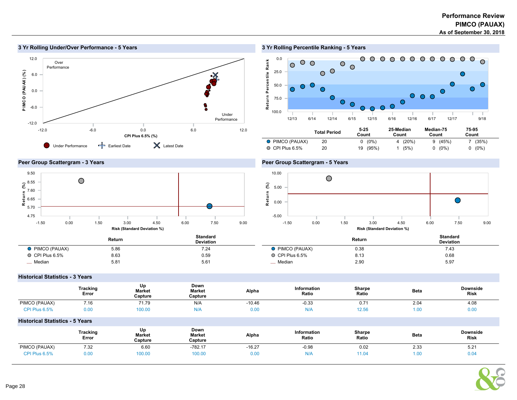

#### 3 Yr Rolling Under/Over Performance - 5 Years

3 Yr Rolling Percentile Ranking - 5 Years







#### Peer Group Scattergram - 5 Years



|                        | Return | Standard<br><b>Deviation</b> |                        | Return | Standard<br><b>Deviation</b> |
|------------------------|--------|------------------------------|------------------------|--------|------------------------------|
| <b>O</b> PIMCO (PAUAX) | 5.86   | 7.24                         | <b>O</b> PIMCO (PAUAX) | 0.38   | 7.43                         |
| $\circ$ CPI Plus 6.5%  | 8.63   | 0.59                         | $\circ$ CPI Plus 6.5%  | 8.13   | 0.68                         |
| _ Median               | 5.81   | 5.61                         | Median                 | 2.90   | 5.97                         |

#### Historical Statistics - 3 Years

|                                        | <b>Tracking</b><br>Error | Up<br><b>Market</b><br>Capture | Down<br><b>Market</b><br>Capture | Alpha    | Information<br>Ratio | Sharpe<br>Ratio | Beta        | <b>Downside</b><br><b>Risk</b> |
|----------------------------------------|--------------------------|--------------------------------|----------------------------------|----------|----------------------|-----------------|-------------|--------------------------------|
| PIMCO (PAUAX)                          | 7.16                     | 71.79                          | N/A                              | $-10.46$ | $-0.33$              | 0.71            | 2.04        | 4.08                           |
| CPI Plus 6.5%                          | 0.00                     | 100.00                         | N/A                              | 0.00     | N/A                  | 12.56           | 1.00        | 0.00                           |
| <b>Historical Statistics - 5 Years</b> |                          |                                |                                  |          |                      |                 |             |                                |
|                                        | <b>Tracking</b><br>Error | Up<br><b>Market</b><br>Capture | Down<br>Market<br>Capture        | Alpha    | Information<br>Ratio | Sharpe<br>Ratio | <b>Beta</b> | <b>Downside</b><br><b>Risk</b> |

PIMCO (PAUAX) 7.32 6.60 -782.17 -16.27 -0.98 0.02 2.33 5.21 CPI Plus 6.5% 0.00 100.00 100.00 0.00 N/A 11.04 1.00 0.04

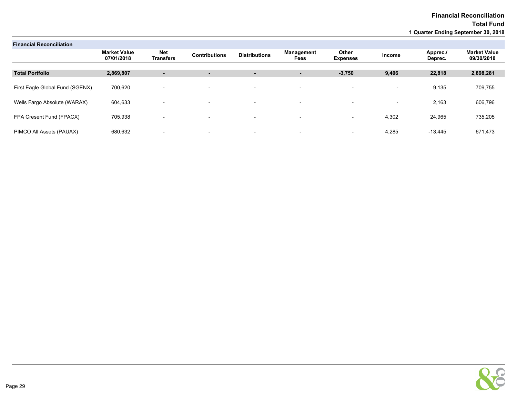| <b>Financial Reconciliation</b> |                                   |                                |                          |                          |                          |                          |                          |                     |                                   |
|---------------------------------|-----------------------------------|--------------------------------|--------------------------|--------------------------|--------------------------|--------------------------|--------------------------|---------------------|-----------------------------------|
|                                 | <b>Market Value</b><br>07/01/2018 | <b>Net</b><br><b>Transfers</b> | <b>Contributions</b>     | <b>Distributions</b>     | Management<br>Fees       | Other<br><b>Expenses</b> | Income                   | Apprec./<br>Deprec. | <b>Market Value</b><br>09/30/2018 |
|                                 |                                   |                                |                          |                          |                          |                          |                          |                     |                                   |
| <b>Total Portfolio</b>          | 2,869,807                         | $\blacksquare$                 | ٠                        | ٠                        | ۰.                       | $-3,750$                 | 9,406                    | 22,818              | 2,898,281                         |
|                                 |                                   |                                |                          |                          |                          |                          |                          |                     |                                   |
| First Eagle Global Fund (SGENX) | 700,620                           | $\overline{\phantom{0}}$       | $\overline{\phantom{a}}$ | $\overline{\phantom{a}}$ | $\overline{\phantom{0}}$ | $\overline{\phantom{a}}$ | $\overline{\phantom{a}}$ | 9,135               | 709,755                           |
|                                 |                                   |                                |                          |                          |                          |                          |                          |                     |                                   |
| Wells Fargo Absolute (WARAX)    | 604,633                           | $\overline{\phantom{0}}$       | $\overline{\phantom{a}}$ | $\overline{\phantom{a}}$ | $\overline{\phantom{a}}$ | $\overline{\phantom{a}}$ | $\overline{\phantom{a}}$ | 2,163               | 606,796                           |
| FPA Cresent Fund (FPACX)        | 705,938                           |                                |                          |                          |                          |                          | 4,302                    | 24,965              | 735,205                           |
|                                 |                                   |                                | $\overline{\phantom{a}}$ | $\overline{\phantom{a}}$ | $\overline{\phantom{a}}$ | $\overline{\phantom{a}}$ |                          |                     |                                   |
| PIMCO All Assets (PAUAX)        | 680,632                           | $\overline{\phantom{0}}$       | $\overline{\phantom{0}}$ | $\overline{\phantom{0}}$ | $\overline{\phantom{0}}$ | $\overline{\phantom{0}}$ | 4,285                    | $-13,445$           | 671,473                           |
|                                 |                                   |                                |                          |                          |                          |                          |                          |                     |                                   |

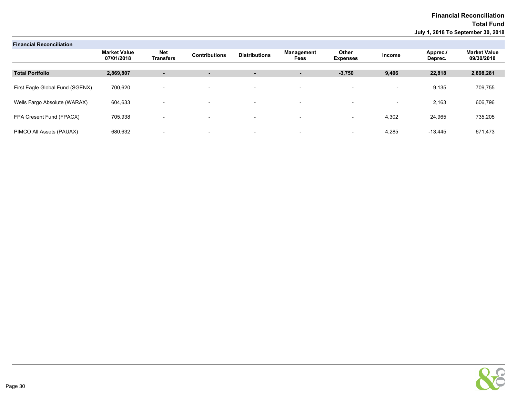| <b>Financial Reconciliation</b> |                                   |                          |                          |                          |                           |                          |                          |                     |                                   |
|---------------------------------|-----------------------------------|--------------------------|--------------------------|--------------------------|---------------------------|--------------------------|--------------------------|---------------------|-----------------------------------|
|                                 | <b>Market Value</b><br>07/01/2018 | <b>Net</b><br>Transfers  | <b>Contributions</b>     | <b>Distributions</b>     | Management<br><b>Fees</b> | Other<br><b>Expenses</b> | Income                   | Apprec./<br>Deprec. | <b>Market Value</b><br>09/30/2018 |
|                                 |                                   |                          |                          |                          |                           |                          |                          |                     |                                   |
| <b>Total Portfolio</b>          | 2,869,807                         | $\blacksquare$           | ٠                        | $\sim$                   | ٠                         | $-3,750$                 | 9,406                    | 22,818              | 2,898,281                         |
| First Eagle Global Fund (SGENX) | 700,620                           | $\overline{\phantom{0}}$ | $\overline{\phantom{0}}$ | $\overline{\phantom{0}}$ | $\overline{\phantom{0}}$  | $\overline{\phantom{0}}$ | $\overline{\phantom{0}}$ | 9,135               | 709,755                           |
| Wells Fargo Absolute (WARAX)    | 604,633                           | $\overline{\phantom{0}}$ | $\overline{\phantom{0}}$ | $\overline{\phantom{a}}$ | $\overline{\phantom{0}}$  |                          | $\overline{\phantom{0}}$ | 2,163               | 606,796                           |
| FPA Cresent Fund (FPACX)        | 705,938                           | $\overline{\phantom{0}}$ | $\overline{\phantom{0}}$ | $\overline{\phantom{0}}$ | $\overline{\phantom{0}}$  | $\overline{\phantom{0}}$ | 4,302                    | 24,965              | 735,205                           |
| PIMCO All Assets (PAUAX)        | 680,632                           | $\overline{\phantom{0}}$ | $\overline{\phantom{0}}$ | $\overline{\phantom{0}}$ | $\overline{\phantom{0}}$  | $\overline{\phantom{0}}$ | 4,285                    | $-13.445$           | 671,473                           |

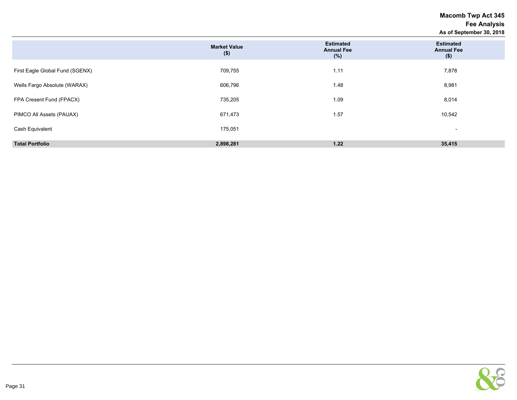# Macomb Twp Act 345 Fee Analysis As of September 30, 2018

|                                 |                                |                                                 | As at achiemne, so to                            |
|---------------------------------|--------------------------------|-------------------------------------------------|--------------------------------------------------|
|                                 | <b>Market Value</b><br>$($ \$) | <b>Estimated</b><br><b>Annual Fee</b><br>$(\%)$ | <b>Estimated</b><br><b>Annual Fee</b><br>$($ \$) |
| First Eagle Global Fund (SGENX) | 709,755                        | 1.11                                            | 7,878                                            |
| Wells Fargo Absolute (WARAX)    | 606,796                        | 1.48                                            | 8,981                                            |
| FPA Cresent Fund (FPACX)        | 735,205                        | 1.09                                            | 8,014                                            |
| PIMCO All Assets (PAUAX)        | 671,473                        | 1.57                                            | 10,542                                           |
| Cash Equivalent                 | 175,051                        |                                                 | $\overline{\phantom{0}}$                         |
| <b>Total Portfolio</b>          | 2,898,281                      | 1.22                                            | 35,415                                           |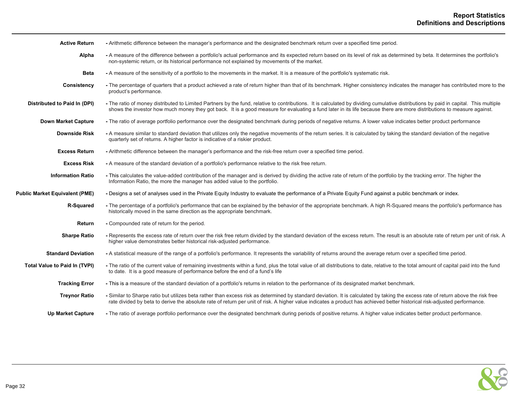| <b>Active Return</b>                  | - Arithmetic difference between the manager's performance and the designated benchmark return over a specified time period.                                                                                                                                                                                                                                    |
|---------------------------------------|----------------------------------------------------------------------------------------------------------------------------------------------------------------------------------------------------------------------------------------------------------------------------------------------------------------------------------------------------------------|
| Alpha                                 | - A measure of the difference between a portfolio's actual performance and its expected return based on its level of risk as determined by beta. It determines the portfolio's<br>non-systemic return, or its historical performance not explained by movements of the market.                                                                                 |
| <b>Beta</b>                           | - A measure of the sensitivity of a portfolio to the movements in the market. It is a measure of the portfolio's systematic risk.                                                                                                                                                                                                                              |
| Consistency                           | - The percentage of quarters that a product achieved a rate of return higher than that of its benchmark. Higher consistency indicates the manager has contributed more to the<br>product's performance.                                                                                                                                                        |
| Distributed to Paid In (DPI)          | - The ratio of money distributed to Limited Partners by the fund, relative to contributions. It is calculated by dividing cumulative distributions by paid in capital. This multiple<br>shows the investor how much money they got back. It is a good measure for evaluating a fund later in its life because there are more distributions to measure against. |
| <b>Down Market Capture</b>            | - The ratio of average portfolio performance over the designated benchmark during periods of negative returns. A lower value indicates better product performance                                                                                                                                                                                              |
| <b>Downside Risk</b>                  | - A measure similar to standard deviation that utilizes only the negative movements of the return series. It is calculated by taking the standard deviation of the negative<br>quarterly set of returns. A higher factor is indicative of a riskier product.                                                                                                   |
| <b>Excess Return</b>                  | - Arithmetic difference between the manager's performance and the risk-free return over a specified time period.                                                                                                                                                                                                                                               |
| <b>Excess Risk</b>                    | - A measure of the standard deviation of a portfolio's performance relative to the risk free return.                                                                                                                                                                                                                                                           |
| <b>Information Ratio</b>              | - This calculates the value-added contribution of the manager and is derived by dividing the active rate of return of the portfolio by the tracking error. The higher the<br>Information Ratio, the more the manager has added value to the portfolio.                                                                                                         |
| <b>Public Market Equivalent (PME)</b> | - Designs a set of analyses used in the Private Equity Industry to evaluate the performance of a Private Equity Fund against a public benchmark or index.                                                                                                                                                                                                      |
| R-Squared                             | - The percentage of a portfolio's performance that can be explained by the behavior of the appropriate benchmark. A high R-Squared means the portfolio's performance has<br>historically moved in the same direction as the appropriate benchmark.                                                                                                             |
| Return                                | - Compounded rate of return for the period.                                                                                                                                                                                                                                                                                                                    |
| <b>Sharpe Ratio</b>                   | - Represents the excess rate of return over the risk free return divided by the standard deviation of the excess return. The result is an absolute rate of return per unit of risk. A<br>higher value demonstrates better historical risk-adjusted performance.                                                                                                |
| <b>Standard Deviation</b>             | - A statistical measure of the range of a portfolio's performance. It represents the variability of returns around the average return over a specified time period.                                                                                                                                                                                            |
| <b>Total Value to Paid In (TVPI)</b>  | - The ratio of the current value of remaining investments within a fund, plus the total value of all distributions to date, relative to the total amount of capital paid into the fund<br>to date. It is a good measure of performance before the end of a fund's life                                                                                         |
| <b>Tracking Error</b>                 | - This is a measure of the standard deviation of a portfolio's returns in relation to the performance of its designated market benchmark.                                                                                                                                                                                                                      |
| <b>Treynor Ratio</b>                  | - Similar to Sharpe ratio but utilizes beta rather than excess risk as determined by standard deviation. It is calculated by taking the excess rate of return above the risk free<br>rate divided by beta to derive the absolute rate of return per unit of risk. A higher value indicates a product has achieved better historical risk-adjusted performance. |
| <b>Up Market Capture</b>              | - The ratio of average portfolio performance over the designated benchmark during periods of positive returns. A higher value indicates better product performance.                                                                                                                                                                                            |

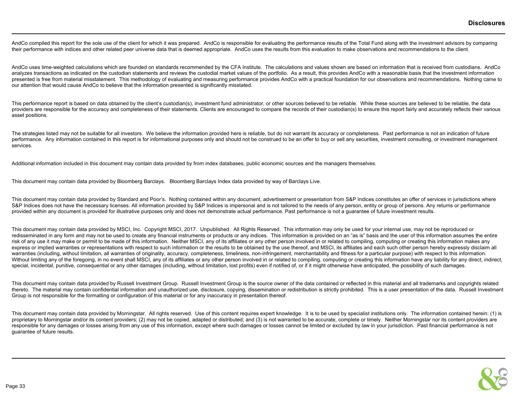AndCo compiled this report for the sole use of the client for which it was prepared. AndCo is responsible for evaluating the performance results of the Total Fund along with the investment advisors by comparing their performance with indices and other related peer universe data that is deemed appropriate. AndCo uses the results from this evaluation to make observations and recommendations to the client.

AndCo uses time-weighted calculations which are founded on standards recommended by the CFA Institute. The calculations and values shown are based on information that is received from custodians. AndCo analyzes transactions as indicated on the custodian statements and reviews the custodial market values of the portfolio. As a result, this provides AndCo with a reasonable basis that the investment information presented is free from material misstatement. This methodology of evaluating and measuring performance provides AndCo with a practical foundation for our observations and recommendations. Nothing came to our attention that would cause AndCo to believe that the information presented is significantly misstated.

This performance report is based on data obtained by the client's custodian(s), investment fund administrator, or other sources believed to be reliable. While these sources are believed to be reliable, the data providers are responsible for the accuracy and completeness of their statements. Clients are encouraged to compare the records of their custodian(s) to ensure this report fairly and accurately reflects their various asset positions.

The strategies listed may not be suitable for all investors. We believe the information provided here is reliable, but do not warrant its accuracy or completeness. Past performance is not an indication of future performance. Any information contained in this report is for informational purposes only and should not be construed to be an offer to buy or sell any securities, investment consulting, or investment management services.

Additional information included in this document may contain data provided by from index databases, public economic sources and the managers themselves.

This document may contain data provided by Bloomberg Barclays. Bloomberg Barclays Index data provided by way of Barclays Live.

This document may contain data provided by Standard and Poor's. Nothing contained within any document, advertisement or presentation from S&P Indices constitutes an offer of services in jurisdictions where S&P Indices does not have the necessary licenses. All information provided by S&P Indices is impersonal and is not tailored to the needs of any person, entity or group of persons. Any returns or performance provided within any document is provided for illustrative purposes only and does not demonstrate actual performance. Past performance is not a quarantee of future investment results.

This document may contain data provided by MSCI, Inc. Copyright MSCI, 2017. Unpublished. All Rights Reserved. This information may only be used for your internal use, may not be reproduced or redisseminated in any form and may not be used to create any financial instruments or products or any indices. This information is provided on an "as is" basis and the user of this information assumes the entire risk of any use it may make or permit to be made of this information. Neither MSCI, any of its affiliates or any other person involved in or related to compiling, computing or creating this information makes any express or implied warranties or representations with respect to such information or the results to be obtained by the use thereof, and MSCI, its affiliates and each such other person hereby expressly disclaim all warranties (including, without limitation, all warranties of originality, accuracy, completeness, timeliness, non-infringement, merchantability and fitness for a particular purpose) with respect to this information. Without limiting any of the foregoing, in no event shall MSCI, any of its affiliates or any other person involved in or related to compiling, computing or creating this information have any liability for any direct, indire special, incidental, punitive, consequential or any other damages (including, without limitation, lost profits) even if notified of, or if it might otherwise have anticipated, the possibility of such damages.

This document may contain data provided by Russell Investment Group. Russell Investment Group is the source owner of the data contained or reflected in this material and all trademarks and copyrights related thereto. The material may contain confidential information and unauthorized use, disclosure, copying, dissemination or redistribution is strictly prohibited. This is a user presentation of the data. Russell Investment Group is not responsible for the formatting or configuration of this material or for any inaccuracy in presentation thereof.

This document may contain data provided by Morningstar. All rights reserved. Use of this content requires expert knowledge. It is to be used by specialist institutions only. The information contained herein: (1) is proprietary to Morningstar and/or its content providers; (2) may not be copied, adapted or distributed; and (3) is not warranted to be accurate, complete or timely. Neither Morningstar nor its content providers are responsible for any damages or losses arising from any use of this information, except where such damages or losses cannot be limited or excluded by law in your jurisdiction. Past financial performance is not guarantee of future results.